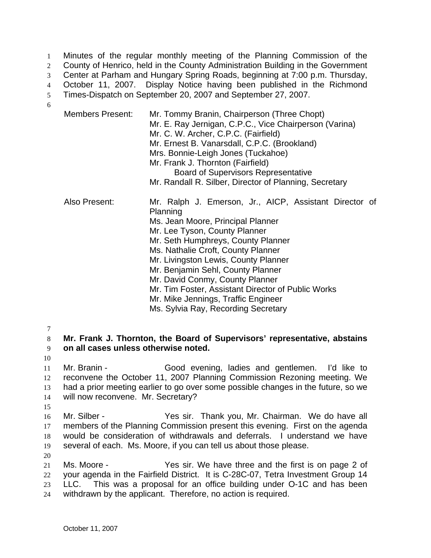Minutes of the regular monthly meeting of the Planning Commission of the 2 County of Henrico, held in the County Administration Building in the Government Center at Parham and Hungary Spring Roads, beginning at 7:00 p.m. Thursday, October 11, 2007. Display Notice having been published in the Richmond Times-Dispatch on September 20, 2007 and September 27, 2007. 6

| <b>Members Present:</b> | Mr. Tommy Branin, Chairperson (Three Chopt)<br>Mr. E. Ray Jernigan, C.P.C., Vice Chairperson (Varina)<br>Mr. C. W. Archer, C.P.C. (Fairfield)<br>Mr. Ernest B. Vanarsdall, C.P.C. (Brookland)<br>Mrs. Bonnie-Leigh Jones (Tuckahoe)<br>Mr. Frank J. Thornton (Fairfield)<br><b>Board of Supervisors Representative</b><br>Mr. Randall R. Silber, Director of Planning, Secretary                                                                                         |
|-------------------------|--------------------------------------------------------------------------------------------------------------------------------------------------------------------------------------------------------------------------------------------------------------------------------------------------------------------------------------------------------------------------------------------------------------------------------------------------------------------------|
| Also Present:           | Mr. Ralph J. Emerson, Jr., AICP, Assistant Director of<br>Planning<br>Ms. Jean Moore, Principal Planner<br>Mr. Lee Tyson, County Planner<br>Mr. Seth Humphreys, County Planner<br>Ms. Nathalie Croft, County Planner<br>Mr. Livingston Lewis, County Planner<br>Mr. Benjamin Sehl, County Planner<br>Mr. David Conmy, County Planner<br>Mr. Tim Foster, Assistant Director of Public Works<br>Mr. Mike Jennings, Traffic Engineer<br>Ms. Sylvia Ray, Recording Secretary |

7

10

8 **Mr. Frank J. Thornton, the Board of Supervisors' representative, abstains**  9 **on all cases unless otherwise noted.**

Mr. Branin - Good evening, ladies and gentlemen. I'd like to reconvene the October 11, 2007 Planning Commission Rezoning meeting. We had a prior meeting earlier to go over some possible changes in the future, so we will now reconvene. Mr. Secretary?

15 Mr. Silber - Yes sir. Thank you, Mr. Chairman. We do have all members of the Planning Commission present this evening. First on the agenda would be consideration of withdrawals and deferrals. I understand we have several of each. Ms. Moore, if you can tell us about those please.

20 Ms. Moore - Yes sir. We have three and the first is on page 2 of your agenda in the Fairfield District. It is C-28C-07, Tetra Investment Group 14 LLC. This was a proposal for an office building under O-1C and has been withdrawn by the applicant. Therefore, no action is required.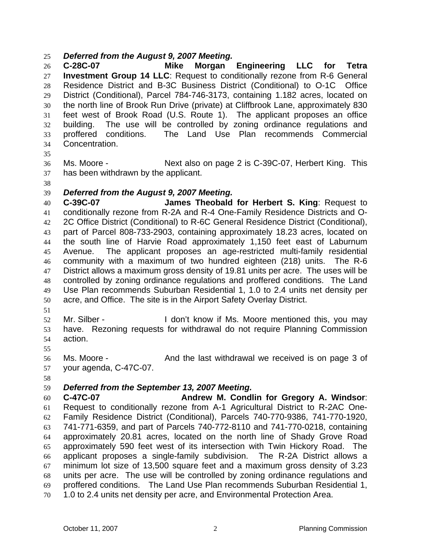#### *Deferred from the August 9, 2007 Meeting.*

**C-28C-07 Mike Morgan Engineering LLC for Tetra Investment Group 14 LLC**: Request to conditionally rezone from R-6 General Residence District and B-3C Business District (Conditional) to O-1C Office District (Conditional), Parcel 784-746-3173, containing 1.182 acres, located on the north line of Brook Run Drive (private) at Cliffbrook Lane, approximately 830 feet west of Brook Road (U.S. Route 1). The applicant proposes an office building. The use will be controlled by zoning ordinance regulations and proffered conditions. The Land Use Plan recommends Commercial Concentration.

Ms. Moore - Next also on page 2 is C-39C-07, Herbert King. This has been withdrawn by the applicant.

## *Deferred from the August 9, 2007 Meeting.*

**C-39C-07 James Theobald for Herbert S. King**: Request to conditionally rezone from R-2A and R-4 One-Family Residence Districts and O-2C Office District (Conditional) to R-6C General Residence District (Conditional), part of Parcel 808-733-2903, containing approximately 18.23 acres, located on the south line of Harvie Road approximately 1,150 feet east of Laburnum Avenue. The applicant proposes an age-restricted multi-family residential community with a maximum of two hundred eighteen (218) units. The R-6 District allows a maximum gross density of 19.81 units per acre. The uses will be controlled by zoning ordinance regulations and proffered conditions. The Land Use Plan recommends Suburban Residential 1, 1.0 to 2.4 units net density per acre, and Office. The site is in the Airport Safety Overlay District.

52 Mr. Silber - I don't know if Ms. Moore mentioned this, you may have. Rezoning requests for withdrawal do not require Planning Commission action.

Ms. Moore - And the last withdrawal we received is on page 3 of your agenda, C-47C-07.

## *Deferred from the September 13, 2007 Meeting.*

**C-47C-07 Andrew M. Condlin for Gregory A. Windsor**: Request to conditionally rezone from A-1 Agricultural District to R-2AC One-Family Residence District (Conditional), Parcels 740-770-9386, 741-770-1920, 741-771-6359, and part of Parcels 740-772-8110 and 741-770-0218, containing approximately 20.81 acres, located on the north line of Shady Grove Road approximately 590 feet west of its intersection with Twin Hickory Road. The applicant proposes a single-family subdivision. The R-2A District allows a minimum lot size of 13,500 square feet and a maximum gross density of 3.23 units per acre. The use will be controlled by zoning ordinance regulations and proffered conditions. The Land Use Plan recommends Suburban Residential 1, 1.0 to 2.4 units net density per acre, and Environmental Protection Area.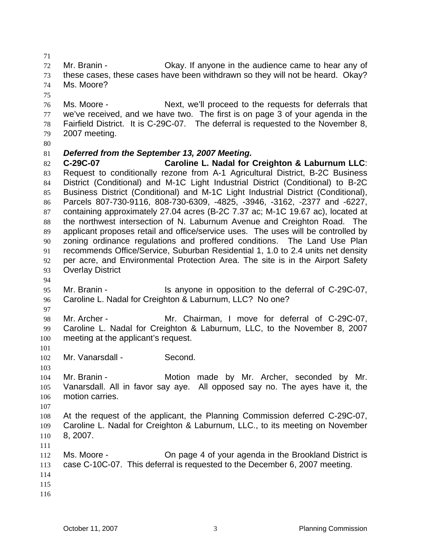Mr. Branin - Okay. If anyone in the audience came to hear any of these cases, these cases have been withdrawn so they will not be heard. Okay? Ms. Moore?

Ms. Moore - Next, we'll proceed to the requests for deferrals that we've received, and we have two. The first is on page 3 of your agenda in the Fairfield District. It is C-29C-07. The deferral is requested to the November 8, 2007 meeting.

## *Deferred from the September 13, 2007 Meeting.*

**C-29C-07 Caroline L. Nadal for Creighton & Laburnum LLC**: Request to conditionally rezone from A-1 Agricultural District, B-2C Business District (Conditional) and M-1C Light Industrial District (Conditional) to B-2C Business District (Conditional) and M-1C Light Industrial District (Conditional), Parcels 807-730-9116, 808-730-6309, -4825, -3946, -3162, -2377 and -6227, containing approximately 27.04 acres (B-2C 7.37 ac; M-1C 19.67 ac), located at the northwest intersection of N. Laburnum Avenue and Creighton Road. The applicant proposes retail and office/service uses. The uses will be controlled by zoning ordinance regulations and proffered conditions. The Land Use Plan recommends Office/Service, Suburban Residential 1, 1.0 to 2.4 units net density per acre, and Environmental Protection Area. The site is in the Airport Safety Overlay District

Mr. Branin - Is anyone in opposition to the deferral of C-29C-07, Caroline L. Nadal for Creighton & Laburnum, LLC? No one?

Mr. Archer - Mr. Chairman, I move for deferral of C-29C-07, Caroline L. Nadal for Creighton & Laburnum, LLC, to the November 8, 2007 meeting at the applicant's request.

Mr. Vanarsdall - Second.

Mr. Branin - Motion made by Mr. Archer, seconded by Mr. Vanarsdall. All in favor say aye. All opposed say no. The ayes have it, the motion carries.

At the request of the applicant, the Planning Commission deferred C-29C-07, Caroline L. Nadal for Creighton & Laburnum, LLC., to its meeting on November 8, 2007.

 Ms. Moore - On page 4 of your agenda in the Brookland District is case C-10C-07. This deferral is requested to the December 6, 2007 meeting. 

- 
-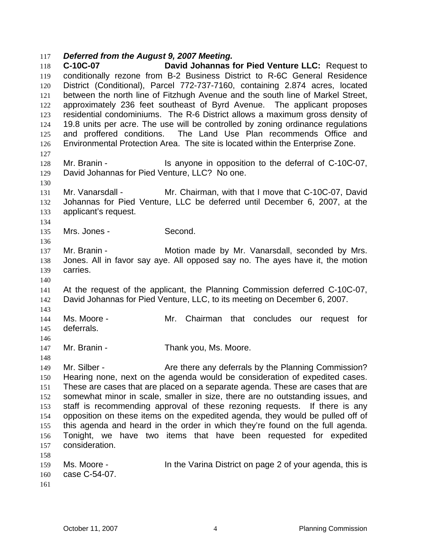#### *Deferred from the August 9, 2007 Meeting.*

**C-10C-07 David Johannas for Pied Venture LLC:** Request to conditionally rezone from B-2 Business District to R-6C General Residence District (Conditional), Parcel 772-737-7160, containing 2.874 acres, located between the north line of Fitzhugh Avenue and the south line of Markel Street, approximately 236 feet southeast of Byrd Avenue. The applicant proposes residential condominiums. The R-6 District allows a maximum gross density of 19.8 units per acre. The use will be controlled by zoning ordinance regulations and proffered conditions. The Land Use Plan recommends Office and Environmental Protection Area. The site is located within the Enterprise Zone. Mr. Branin - Is anyone in opposition to the deferral of C-10C-07, David Johannas for Pied Venture, LLC? No one. Mr. Vanarsdall - Mr. Chairman, with that I move that C-10C-07, David Johannas for Pied Venture, LLC be deferred until December 6, 2007, at the applicant's request. Mrs. Jones - Second. Mr. Branin - Motion made by Mr. Vanarsdall, seconded by Mrs. Jones. All in favor say aye. All opposed say no. The ayes have it, the motion carries. At the request of the applicant, the Planning Commission deferred C-10C-07, David Johannas for Pied Venture, LLC, to its meeting on December 6, 2007. Ms. Moore - Mr. Chairman that concludes our request for deferrals. 147 Mr. Branin - Thank you, Ms. Moore. 149 Mr. Silber - **Are there any deferrals by the Planning Commission?** Hearing none, next on the agenda would be consideration of expedited cases. These are cases that are placed on a separate agenda. These are cases that are somewhat minor in scale, smaller in size, there are no outstanding issues, and staff is recommending approval of these rezoning requests. If there is any opposition on these items on the expedited agenda, they would be pulled off of this agenda and heard in the order in which they're found on the full agenda. Tonight, we have two items that have been requested for expedited consideration. 159 Ms. Moore - **In the Varina District on page 2 of your agenda, this is** case C-54-07.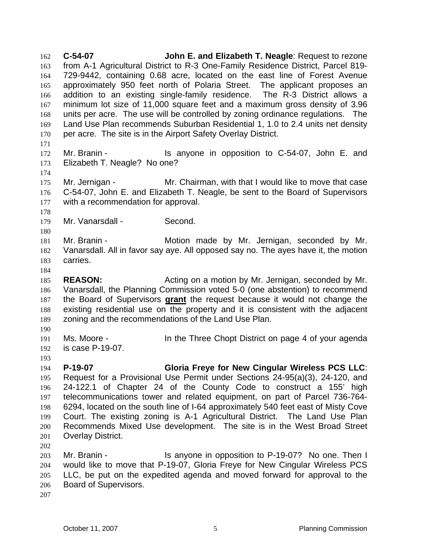**C-54-07 John E. and Elizabeth T. Neagle**: Request to rezone from A-1 Agricultural District to R-3 One-Family Residence District, Parcel 819- 729-9442, containing 0.68 acre, located on the east line of Forest Avenue approximately 950 feet north of Polaria Street. The applicant proposes an addition to an existing single-family residence. The R-3 District allows a minimum lot size of 11,000 square feet and a maximum gross density of 3.96 units per acre. The use will be controlled by zoning ordinance regulations. The Land Use Plan recommends Suburban Residential 1, 1.0 to 2.4 units net density per acre. The site is in the Airport Safety Overlay District. Mr. Branin - Is anyone in opposition to C-54-07, John E. and Elizabeth T. Neagle? No one? 175 Mr. Jernigan - Mr. Chairman, with that I would like to move that case C-54-07, John E. and Elizabeth T. Neagle, be sent to the Board of Supervisors with a recommendation for approval. 179 Mr. Vanarsdall - Second. Mr. Branin - Motion made by Mr. Jernigan, seconded by Mr. Vanarsdall. All in favor say aye. All opposed say no. The ayes have it, the motion carries. **REASON:** Acting on a motion by Mr. Jernigan, seconded by Mr. Vanarsdall, the Planning Commission voted 5-0 (one abstention) to recommend the Board of Supervisors **grant** the request because it would not change the existing residential use on the property and it is consistent with the adjacent zoning and the recommendations of the Land Use Plan. Ms. Moore - In the Three Chopt District on page 4 of your agenda is case P-19-07. **P-19-07 Gloria Freye for New Cingular Wireless PCS LLC**: Request for a Provisional Use Permit under Sections 24-95(a)(3), 24-120, and 24-122.1 of Chapter 24 of the County Code to construct a 155' high telecommunications tower and related equipment, on part of Parcel 736-764- 6294, located on the south line of I-64 approximately 540 feet east of Misty Cove Court. The existing zoning is A-1 Agricultural District. The Land Use Plan Recommends Mixed Use development. The site is in the West Broad Street Overlay District. Mr. Branin - Is anyone in opposition to P-19-07? No one. Then I would like to move that P-19-07, Gloria Freye for New Cingular Wireless PCS LLC, be put on the expedited agenda and moved forward for approval to the Board of Supervisors.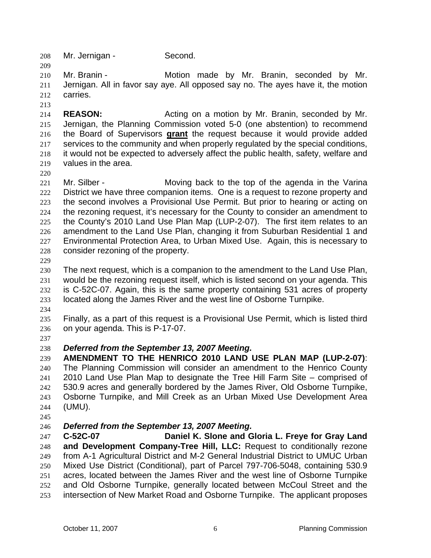Mr. Jernigan - Second.

Mr. Branin - Motion made by Mr. Branin, seconded by Mr. Jernigan. All in favor say aye. All opposed say no. The ayes have it, the motion carries.

**REASON:** Acting on a motion by Mr. Branin, seconded by Mr. Jernigan, the Planning Commission voted 5-0 (one abstention) to recommend the Board of Supervisors **grant** the request because it would provide added services to the community and when properly regulated by the special conditions, it would not be expected to adversely affect the public health, safety, welfare and values in the area.

221 Mr. Silber - Moving back to the top of the agenda in the Varina 222 District we have three companion items. One is a request to rezone property and the second involves a Provisional Use Permit. But prior to hearing or acting on the rezoning request, it's necessary for the County to consider an amendment to the County's 2010 Land Use Plan Map (LUP-2-07). The first item relates to an amendment to the Land Use Plan, changing it from Suburban Residential 1 and Environmental Protection Area, to Urban Mixed Use. Again, this is necessary to consider rezoning of the property.

The next request, which is a companion to the amendment to the Land Use Plan, would be the rezoning request itself, which is listed second on your agenda. This is C-52C-07. Again, this is the same property containing 531 acres of property located along the James River and the west line of Osborne Turnpike.

Finally, as a part of this request is a Provisional Use Permit, which is listed third on your agenda. This is P-17-07.

# *Deferred from the September 13, 2007 Meeting.*

**AMENDMENT TO THE HENRICO 2010 LAND USE PLAN MAP (LUP-2-07)**: The Planning Commission will consider an amendment to the Henrico County 2010 Land Use Plan Map to designate the Tree Hill Farm Site – comprised of 530.9 acres and generally bordered by the James River, Old Osborne Turnpike, Osborne Turnpike, and Mill Creek as an Urban Mixed Use Development Area (UMU).

# *Deferred from the September 13, 2007 Meeting.*

**C-52C-07 Daniel K. Slone and Gloria L. Freye for Gray Land and Development Company-Tree Hill, LLC:** Request to conditionally rezone from A-1 Agricultural District and M-2 General Industrial District to UMUC Urban Mixed Use District (Conditional), part of Parcel 797-706-5048, containing 530.9 acres, located between the James River and the west line of Osborne Turnpike and Old Osborne Turnpike, generally located between McCoul Street and the intersection of New Market Road and Osborne Turnpike. The applicant proposes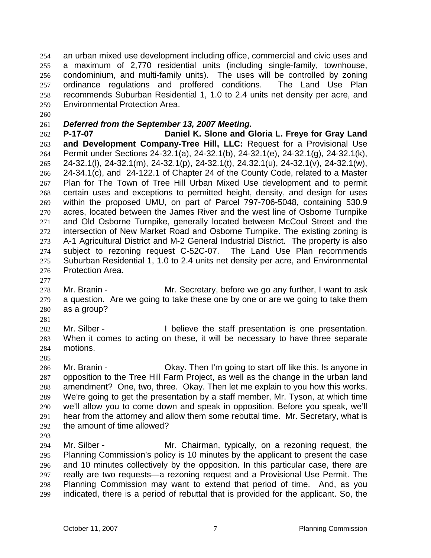an urban mixed use development including office, commercial and civic uses and a maximum of 2,770 residential units (including single-family, townhouse, condominium, and multi-family units). The uses will be controlled by zoning ordinance regulations and proffered conditions. The Land Use Plan recommends Suburban Residential 1, 1.0 to 2.4 units net density per acre, and Environmental Protection Area.

## *Deferred from the September 13, 2007 Meeting.*

**P-17-07 Daniel K. Slone and Gloria L. Freye for Gray Land and Development Company-Tree Hill, LLC:** Request for a Provisional Use Permit under Sections 24-32.1(a), 24-32.1(b), 24-32.1(e), 24-32.1(g), 24-32.1(k), 24-32.1(l), 24-32.1(m), 24-32.1(p), 24-32.1(t), 24.32.1(u), 24-32.1(v), 24-32.1(w), 24-34.1(c), and 24-122.1 of Chapter 24 of the County Code, related to a Master Plan for The Town of Tree Hill Urban Mixed Use development and to permit certain uses and exceptions to permitted height, density, and design for uses within the proposed UMU, on part of Parcel 797-706-5048, containing 530.9 acres, located between the James River and the west line of Osborne Turnpike and Old Osborne Turnpike, generally located between McCoul Street and the intersection of New Market Road and Osborne Turnpike. The existing zoning is A-1 Agricultural District and M-2 General Industrial District. The property is also subject to rezoning request C-52C-07. The Land Use Plan recommends Suburban Residential 1, 1.0 to 2.4 units net density per acre, and Environmental Protection Area.

Mr. Branin - Mr. Secretary, before we go any further, I want to ask a question. Are we going to take these one by one or are we going to take them as a group?

Mr. Silber - I believe the staff presentation is one presentation. When it comes to acting on these, it will be necessary to have three separate motions.

Mr. Branin - Okay. Then I'm going to start off like this. Is anyone in opposition to the Tree Hill Farm Project, as well as the change in the urban land amendment? One, two, three. Okay. Then let me explain to you how this works. We're going to get the presentation by a staff member, Mr. Tyson, at which time we'll allow you to come down and speak in opposition. Before you speak, we'll hear from the attorney and allow them some rebuttal time. Mr. Secretary, what is the amount of time allowed?

Mr. Silber - Mr. Chairman, typically, on a rezoning request, the Planning Commission's policy is 10 minutes by the applicant to present the case and 10 minutes collectively by the opposition. In this particular case, there are really are two requests—a rezoning request and a Provisional Use Permit. The Planning Commission may want to extend that period of time. And, as you indicated, there is a period of rebuttal that is provided for the applicant. So, the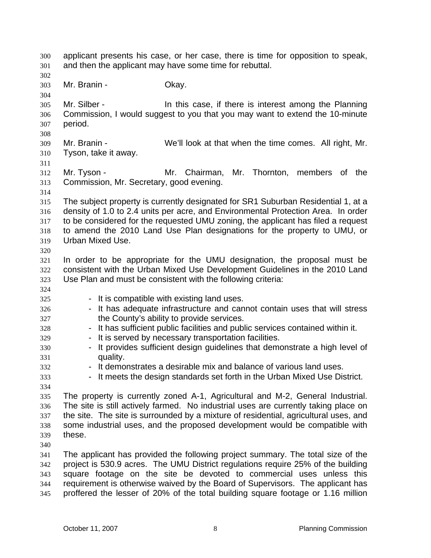applicant presents his case, or her case, there is time for opposition to speak, and then the applicant may have some time for rebuttal. Mr. Branin - Okay. Mr. Silber - In this case, if there is interest among the Planning Commission, I would suggest to you that you may want to extend the 10-minute period. Mr. Branin - We'll look at that when the time comes. All right, Mr. Tyson, take it away. Mr. Tyson - Mr. Chairman, Mr. Thornton, members of the Commission, Mr. Secretary, good evening. The subject property is currently designated for SR1 Suburban Residential 1, at a density of 1.0 to 2.4 units per acre, and Environmental Protection Area. In order to be considered for the requested UMU zoning, the applicant has filed a request to amend the 2010 Land Use Plan designations for the property to UMU, or Urban Mixed Use. In order to be appropriate for the UMU designation, the proposal must be consistent with the Urban Mixed Use Development Guidelines in the 2010 Land Use Plan and must be consistent with the following criteria: 325 - It is compatible with existing land uses. 326 - It has adequate infrastructure and cannot contain uses that will stress the County's ability to provide services. - It has sufficient public facilities and public services contained within it. 329 - It is served by necessary transportation facilities. 330 - It provides sufficient design guidelines that demonstrate a high level of quality. **- It demonstrates a desirable mix and balance of various land uses.** - It meets the design standards set forth in the Urban Mixed Use District. The property is currently zoned A-1, Agricultural and M-2, General Industrial. The site is still actively farmed. No industrial uses are currently taking place on the site. The site is surrounded by a mixture of residential, agricultural uses, and some industrial uses, and the proposed development would be compatible with these. The applicant has provided the following project summary. The total size of the project is 530.9 acres. The UMU District regulations require 25% of the building square footage on the site be devoted to commercial uses unless this requirement is otherwise waived by the Board of Supervisors. The applicant has

proffered the lesser of 20% of the total building square footage or 1.16 million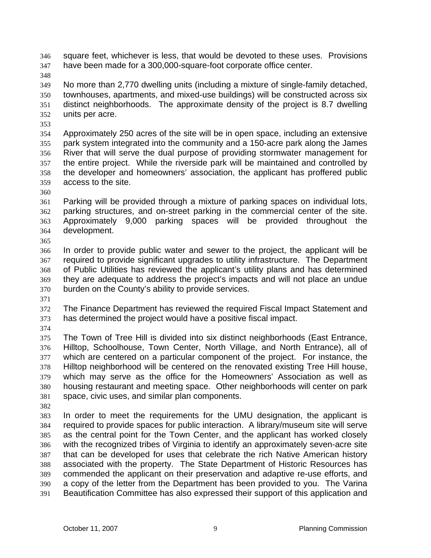square feet, whichever is less, that would be devoted to these uses. Provisions have been made for a 300,000-square-foot corporate office center.

No more than 2,770 dwelling units (including a mixture of single-family detached, townhouses, apartments, and mixed-use buildings) will be constructed across six distinct neighborhoods. The approximate density of the project is 8.7 dwelling units per acre.

Approximately 250 acres of the site will be in open space, including an extensive park system integrated into the community and a 150-acre park along the James River that will serve the dual purpose of providing stormwater management for the entire project. While the riverside park will be maintained and controlled by the developer and homeowners' association, the applicant has proffered public access to the site.

Parking will be provided through a mixture of parking spaces on individual lots, parking structures, and on-street parking in the commercial center of the site. Approximately 9,000 parking spaces will be provided throughout the development. 

In order to provide public water and sewer to the project, the applicant will be required to provide significant upgrades to utility infrastructure. The Department of Public Utilities has reviewed the applicant's utility plans and has determined they are adequate to address the project's impacts and will not place an undue burden on the County's ability to provide services.

The Finance Department has reviewed the required Fiscal Impact Statement and has determined the project would have a positive fiscal impact.

The Town of Tree Hill is divided into six distinct neighborhoods (East Entrance, Hilltop, Schoolhouse, Town Center, North Village, and North Entrance), all of which are centered on a particular component of the project. For instance, the Hilltop neighborhood will be centered on the renovated existing Tree Hill house, which may serve as the office for the Homeowners' Association as well as housing restaurant and meeting space. Other neighborhoods will center on park space, civic uses, and similar plan components.

In order to meet the requirements for the UMU designation, the applicant is required to provide spaces for public interaction. A library/museum site will serve as the central point for the Town Center, and the applicant has worked closely with the recognized tribes of Virginia to identify an approximately seven-acre site that can be developed for uses that celebrate the rich Native American history associated with the property. The State Department of Historic Resources has commended the applicant on their preservation and adaptive re-use efforts, and a copy of the letter from the Department has been provided to you. The Varina Beautification Committee has also expressed their support of this application and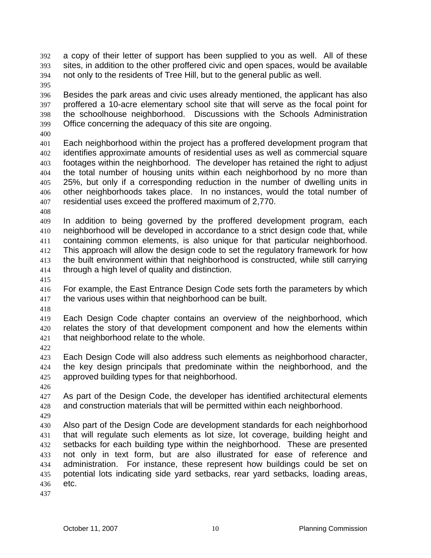- a copy of their letter of support has been supplied to you as well. All of these sites, in addition to the other proffered civic and open spaces, would be available not only to the residents of Tree Hill, but to the general public as well.
- 

Besides the park areas and civic uses already mentioned, the applicant has also proffered a 10-acre elementary school site that will serve as the focal point for the schoolhouse neighborhood. Discussions with the Schools Administration Office concerning the adequacy of this site are ongoing.

Each neighborhood within the project has a proffered development program that identifies approximate amounts of residential uses as well as commercial square footages within the neighborhood. The developer has retained the right to adjust the total number of housing units within each neighborhood by no more than 25%, but only if a corresponding reduction in the number of dwelling units in other neighborhoods takes place. In no instances, would the total number of residential uses exceed the proffered maximum of 2,770.

In addition to being governed by the proffered development program, each neighborhood will be developed in accordance to a strict design code that, while containing common elements, is also unique for that particular neighborhood. This approach will allow the design code to set the regulatory framework for how the built environment within that neighborhood is constructed, while still carrying through a high level of quality and distinction.

For example, the East Entrance Design Code sets forth the parameters by which the various uses within that neighborhood can be built.

Each Design Code chapter contains an overview of the neighborhood, which relates the story of that development component and how the elements within that neighborhood relate to the whole.

Each Design Code will also address such elements as neighborhood character, the key design principals that predominate within the neighborhood, and the approved building types for that neighborhood.

As part of the Design Code, the developer has identified architectural elements and construction materials that will be permitted within each neighborhood.

Also part of the Design Code are development standards for each neighborhood that will regulate such elements as lot size, lot coverage, building height and setbacks for each building type within the neighborhood. These are presented not only in text form, but are also illustrated for ease of reference and administration. For instance, these represent how buildings could be set on potential lots indicating side yard setbacks, rear yard setbacks, loading areas, etc.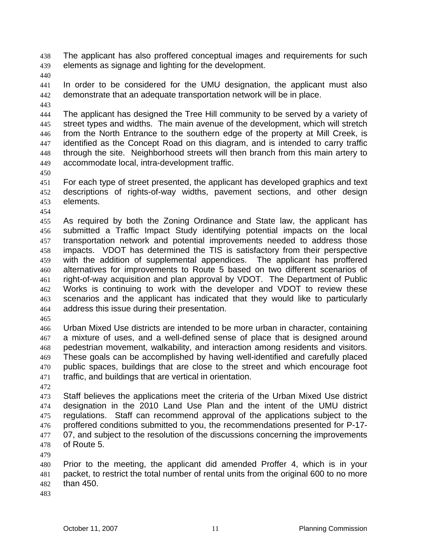The applicant has also proffered conceptual images and requirements for such elements as signage and lighting for the development.

In order to be considered for the UMU designation, the applicant must also demonstrate that an adequate transportation network will be in place.

The applicant has designed the Tree Hill community to be served by a variety of street types and widths. The main avenue of the development, which will stretch from the North Entrance to the southern edge of the property at Mill Creek, is identified as the Concept Road on this diagram, and is intended to carry traffic through the site. Neighborhood streets will then branch from this main artery to accommodate local, intra-development traffic.

For each type of street presented, the applicant has developed graphics and text descriptions of rights-of-way widths, pavement sections, and other design elements.

As required by both the Zoning Ordinance and State law, the applicant has submitted a Traffic Impact Study identifying potential impacts on the local transportation network and potential improvements needed to address those impacts. VDOT has determined the TIS is satisfactory from their perspective with the addition of supplemental appendices. The applicant has proffered alternatives for improvements to Route 5 based on two different scenarios of right-of-way acquisition and plan approval by VDOT. The Department of Public Works is continuing to work with the developer and VDOT to review these scenarios and the applicant has indicated that they would like to particularly address this issue during their presentation.

Urban Mixed Use districts are intended to be more urban in character, containing a mixture of uses, and a well-defined sense of place that is designed around pedestrian movement, walkability, and interaction among residents and visitors. These goals can be accomplished by having well-identified and carefully placed public spaces, buildings that are close to the street and which encourage foot traffic, and buildings that are vertical in orientation.

Staff believes the applications meet the criteria of the Urban Mixed Use district designation in the 2010 Land Use Plan and the intent of the UMU district regulations. Staff can recommend approval of the applications subject to the proffered conditions submitted to you, the recommendations presented for P-17- 477 07, and subject to the resolution of the discussions concerning the improvements of Route 5.

Prior to the meeting, the applicant did amended Proffer 4, which is in your packet, to restrict the total number of rental units from the original 600 to no more than 450.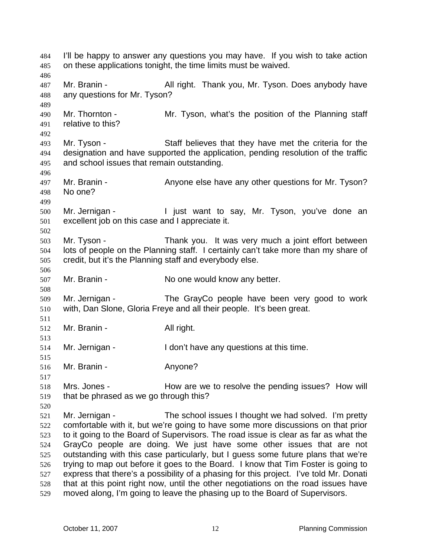I'll be happy to answer any questions you may have. If you wish to take action on these applications tonight, the time limits must be waived. 487 Mr. Branin - All right. Thank you, Mr. Tyson. Does anybody have any questions for Mr. Tyson? Mr. Thornton - Mr. Tyson, what's the position of the Planning staff relative to this? Mr. Tyson - Staff believes that they have met the criteria for the designation and have supported the application, pending resolution of the traffic and school issues that remain outstanding. 497 Mr. Branin - Anyone else have any other questions for Mr. Tyson? No one? Mr. Jernigan - I just want to say, Mr. Tyson, you've done an excellent job on this case and I appreciate it. Mr. Tyson - Thank you. It was very much a joint effort between lots of people on the Planning staff. I certainly can't take more than my share of credit, but it's the Planning staff and everybody else. 507 Mr. Branin - No one would know any better. Mr. Jernigan - The GrayCo people have been very good to work with, Dan Slone, Gloria Freye and all their people. It's been great. Mr. Branin - All right. Mr. Jernigan - I don't have any questions at this time. Mr. Branin - Anyone? Mrs. Jones - How are we to resolve the pending issues? How will that be phrased as we go through this? Mr. Jernigan - The school issues I thought we had solved. I'm pretty comfortable with it, but we're going to have some more discussions on that prior to it going to the Board of Supervisors. The road issue is clear as far as what the GrayCo people are doing. We just have some other issues that are not outstanding with this case particularly, but I guess some future plans that we're trying to map out before it goes to the Board. I know that Tim Foster is going to express that there's a possibility of a phasing for this project. I've told Mr. Donati that at this point right now, until the other negotiations on the road issues have moved along, I'm going to leave the phasing up to the Board of Supervisors.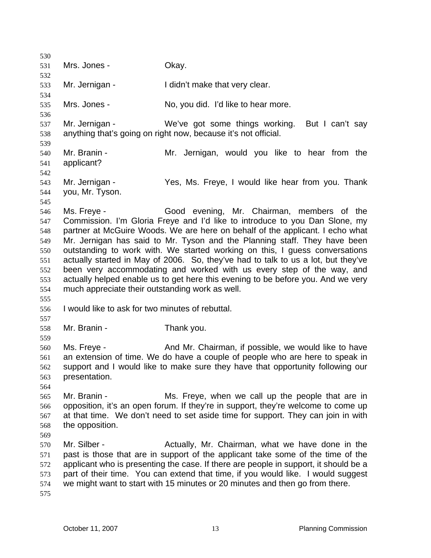531 Mrs. Jones - Okay. Mr. Jernigan - I didn't make that very clear. Mrs. Jones - No, you did. I'd like to hear more. Mr. Jernigan - We've got some things working. But I can't say anything that's going on right now, because it's not official. Mr. Branin - Mr. Jernigan, would you like to hear from the applicant? Mr. Jernigan - Yes, Ms. Freye, I would like hear from you. Thank you, Mr. Tyson. Ms. Freye - Good evening, Mr. Chairman, members of the Commission. I'm Gloria Freye and I'd like to introduce to you Dan Slone, my partner at McGuire Woods. We are here on behalf of the applicant. I echo what Mr. Jernigan has said to Mr. Tyson and the Planning staff. They have been outstanding to work with. We started working on this, I guess conversations actually started in May of 2006. So, they've had to talk to us a lot, but they've been very accommodating and worked with us every step of the way, and actually helped enable us to get here this evening to be before you. And we very much appreciate their outstanding work as well. I would like to ask for two minutes of rebuttal. Mr. Branin - Thank you. Ms. Freye - And Mr. Chairman, if possible, we would like to have an extension of time. We do have a couple of people who are here to speak in support and I would like to make sure they have that opportunity following our presentation. Mr. Branin - Ms. Freye, when we call up the people that are in opposition, it's an open forum. If they're in support, they're welcome to come up at that time. We don't need to set aside time for support. They can join in with the opposition. 570 Mr. Silber - Actually, Mr. Chairman, what we have done in the past is those that are in support of the applicant take some of the time of the applicant who is presenting the case. If there are people in support, it should be a part of their time. You can extend that time, if you would like. I would suggest we might want to start with 15 minutes or 20 minutes and then go from there.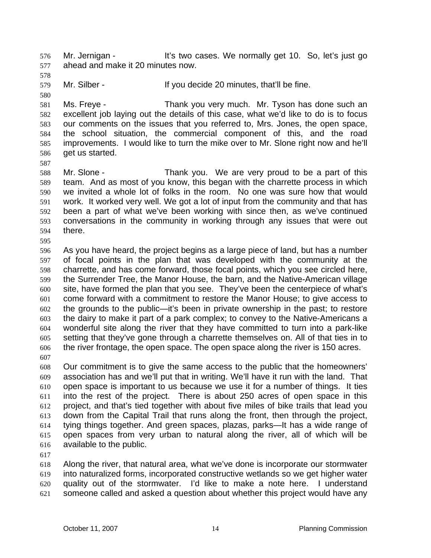Mr. Jernigan - It's two cases. We normally get 10. So, let's just go ahead and make it 20 minutes now.

Mr. Silber - If you decide 20 minutes, that'll be fine.

Ms. Freye - Thank you very much. Mr. Tyson has done such an excellent job laying out the details of this case, what we'd like to do is to focus our comments on the issues that you referred to, Mrs. Jones, the open space, the school situation, the commercial component of this, and the road improvements. I would like to turn the mike over to Mr. Slone right now and he'll get us started.

Mr. Slone - Thank you. We are very proud to be a part of this team. And as most of you know, this began with the charrette process in which we invited a whole lot of folks in the room. No one was sure how that would work. It worked very well. We got a lot of input from the community and that has been a part of what we've been working with since then, as we've continued conversations in the community in working through any issues that were out there.

As you have heard, the project begins as a large piece of land, but has a number of focal points in the plan that was developed with the community at the charrette, and has come forward, those focal points, which you see circled here, the Surrender Tree, the Manor House, the barn, and the Native-American village site, have formed the plan that you see. They've been the centerpiece of what's come forward with a commitment to restore the Manor House; to give access to the grounds to the public—it's been in private ownership in the past; to restore the dairy to make it part of a park complex; to convey to the Native-Americans a wonderful site along the river that they have committed to turn into a park-like setting that they've gone through a charrette themselves on. All of that ties in to the river frontage, the open space. The open space along the river is 150 acres. 

Our commitment is to give the same access to the public that the homeowners' association has and we'll put that in writing. We'll have it run with the land. That open space is important to us because we use it for a number of things. It ties into the rest of the project. There is about 250 acres of open space in this project, and that's tied together with about five miles of bike trails that lead you down from the Capital Trail that runs along the front, then through the project, tying things together. And green spaces, plazas, parks—It has a wide range of open spaces from very urban to natural along the river, all of which will be available to the public.

Along the river, that natural area, what we've done is incorporate our stormwater into naturalized forms, incorporated constructive wetlands so we get higher water quality out of the stormwater. I'd like to make a note here. I understand someone called and asked a question about whether this project would have any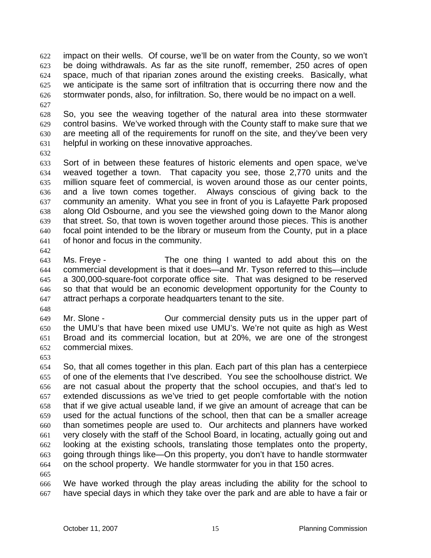impact on their wells. Of course, we'll be on water from the County, so we won't be doing withdrawals. As far as the site runoff, remember, 250 acres of open space, much of that riparian zones around the existing creeks. Basically, what we anticipate is the same sort of infiltration that is occurring there now and the stormwater ponds, also, for infiltration. So, there would be no impact on a well. 

- So, you see the weaving together of the natural area into these stormwater control basins. We've worked through with the County staff to make sure that we are meeting all of the requirements for runoff on the site, and they've been very helpful in working on these innovative approaches.
- 

Sort of in between these features of historic elements and open space, we've weaved together a town. That capacity you see, those 2,770 units and the million square feet of commercial, is woven around those as our center points, and a live town comes together. Always conscious of giving back to the community an amenity. What you see in front of you is Lafayette Park proposed along Old Osbourne, and you see the viewshed going down to the Manor along that street. So, that town is woven together around those pieces. This is another focal point intended to be the library or museum from the County, put in a place of honor and focus in the community.

Ms. Freye - The one thing I wanted to add about this on the commercial development is that it does—and Mr. Tyson referred to this—include a 300,000-square-foot corporate office site. That was designed to be reserved so that that would be an economic development opportunity for the County to attract perhaps a corporate headquarters tenant to the site.

Mr. Slone - Our commercial density puts us in the upper part of the UMU's that have been mixed use UMU's. We're not quite as high as West Broad and its commercial location, but at 20%, we are one of the strongest commercial mixes.

So, that all comes together in this plan. Each part of this plan has a centerpiece of one of the elements that I've described. You see the schoolhouse district. We are not casual about the property that the school occupies, and that's led to extended discussions as we've tried to get people comfortable with the notion that if we give actual useable land, if we give an amount of acreage that can be used for the actual functions of the school, then that can be a smaller acreage than sometimes people are used to. Our architects and planners have worked very closely with the staff of the School Board, in locating, actually going out and looking at the existing schools, translating those templates onto the property, going through things like—On this property, you don't have to handle stormwater on the school property. We handle stormwater for you in that 150 acres.

We have worked through the play areas including the ability for the school to have special days in which they take over the park and are able to have a fair or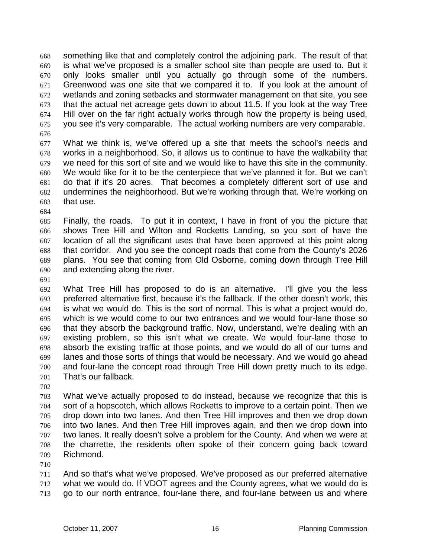something like that and completely control the adjoining park. The result of that is what we've proposed is a smaller school site than people are used to. But it only looks smaller until you actually go through some of the numbers. Greenwood was one site that we compared it to. If you look at the amount of wetlands and zoning setbacks and stormwater management on that site, you see that the actual net acreage gets down to about 11.5. If you look at the way Tree Hill over on the far right actually works through how the property is being used, you see it's very comparable. The actual working numbers are very comparable.

What we think is, we've offered up a site that meets the school's needs and works in a neighborhood. So, it allows us to continue to have the walkability that we need for this sort of site and we would like to have this site in the community. We would like for it to be the centerpiece that we've planned it for. But we can't do that if it's 20 acres. That becomes a completely different sort of use and undermines the neighborhood. But we're working through that. We're working on that use.

Finally, the roads. To put it in context, I have in front of you the picture that shows Tree Hill and Wilton and Rocketts Landing, so you sort of have the location of all the significant uses that have been approved at this point along that corridor. And you see the concept roads that come from the County's 2026 plans. You see that coming from Old Osborne, coming down through Tree Hill and extending along the river.

What Tree Hill has proposed to do is an alternative. I'll give you the less preferred alternative first, because it's the fallback. If the other doesn't work, this is what we would do. This is the sort of normal. This is what a project would do, which is we would come to our two entrances and we would four-lane those so that they absorb the background traffic. Now, understand, we're dealing with an existing problem, so this isn't what we create. We would four-lane those to absorb the existing traffic at those points, and we would do all of our turns and lanes and those sorts of things that would be necessary. And we would go ahead and four-lane the concept road through Tree Hill down pretty much to its edge. That's our fallback.

What we've actually proposed to do instead, because we recognize that this is sort of a hopscotch, which allows Rocketts to improve to a certain point. Then we drop down into two lanes. And then Tree Hill improves and then we drop down into two lanes. And then Tree Hill improves again, and then we drop down into two lanes. It really doesn't solve a problem for the County. And when we were at the charrette, the residents often spoke of their concern going back toward Richmond.

And so that's what we've proposed. We've proposed as our preferred alternative what we would do. If VDOT agrees and the County agrees, what we would do is go to our north entrance, four-lane there, and four-lane between us and where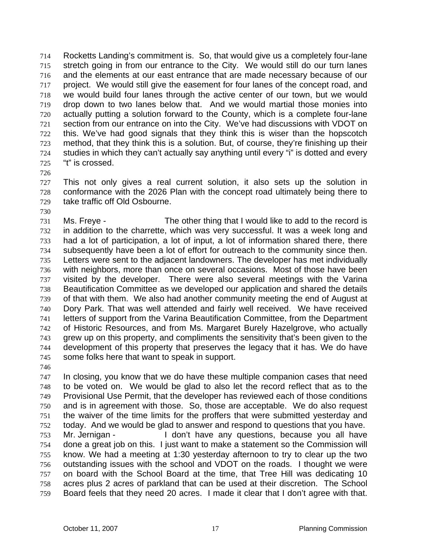Rocketts Landing's commitment is. So, that would give us a completely four-lane stretch going in from our entrance to the City. We would still do our turn lanes and the elements at our east entrance that are made necessary because of our project. We would still give the easement for four lanes of the concept road, and we would build four lanes through the active center of our town, but we would drop down to two lanes below that. And we would martial those monies into actually putting a solution forward to the County, which is a complete four-lane section from our entrance on into the City. We've had discussions with VDOT on this. We've had good signals that they think this is wiser than the hopscotch method, that they think this is a solution. But, of course, they're finishing up their studies in which they can't actually say anything until every "i" is dotted and every "t" is crossed.

This not only gives a real current solution, it also sets up the solution in conformance with the 2026 Plan with the concept road ultimately being there to take traffic off Old Osbourne.

- Ms. Freye The other thing that I would like to add to the record is in addition to the charrette, which was very successful. It was a week long and had a lot of participation, a lot of input, a lot of information shared there, there subsequently have been a lot of effort for outreach to the community since then. Letters were sent to the adjacent landowners. The developer has met individually with neighbors, more than once on several occasions. Most of those have been visited by the developer. There were also several meetings with the Varina Beautification Committee as we developed our application and shared the details of that with them. We also had another community meeting the end of August at Dory Park. That was well attended and fairly well received. We have received letters of support from the Varina Beautification Committee, from the Department of Historic Resources, and from Ms. Margaret Burely Hazelgrove, who actually grew up on this property, and compliments the sensitivity that's been given to the development of this property that preserves the legacy that it has. We do have some folks here that want to speak in support.
- 

In closing, you know that we do have these multiple companion cases that need to be voted on. We would be glad to also let the record reflect that as to the Provisional Use Permit, that the developer has reviewed each of those conditions and is in agreement with those. So, those are acceptable. We do also request the waiver of the time limits for the proffers that were submitted yesterday and today. And we would be glad to answer and respond to questions that you have. Mr. Jernigan - I don't have any questions, because you all have done a great job on this. I just want to make a statement so the Commission will know. We had a meeting at 1:30 yesterday afternoon to try to clear up the two outstanding issues with the school and VDOT on the roads. I thought we were on board with the School Board at the time, that Tree Hill was dedicating 10 acres plus 2 acres of parkland that can be used at their discretion. The School Board feels that they need 20 acres. I made it clear that I don't agree with that.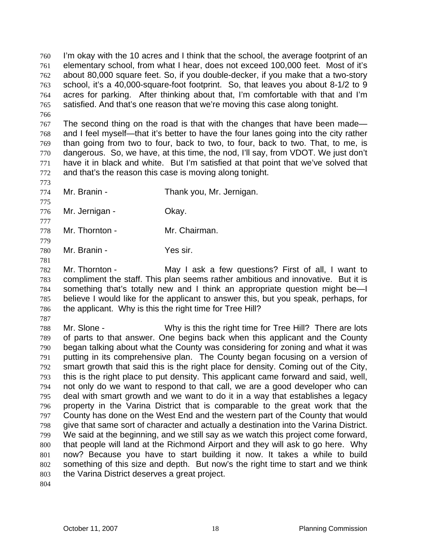I'm okay with the 10 acres and I think that the school, the average footprint of an elementary school, from what I hear, does not exceed 100,000 feet. Most of it's about 80,000 square feet. So, if you double-decker, if you make that a two-story school, it's a 40,000-square-foot footprint. So, that leaves you about 8-1/2 to 9 acres for parking. After thinking about that, I'm comfortable with that and I'm satisfied. And that's one reason that we're moving this case along tonight.

767 The second thing on the road is that with the changes that have been made— and I feel myself—that it's better to have the four lanes going into the city rather than going from two to four, back to two, to four, back to two. That, to me, is dangerous. So, we have, at this time, the nod, I'll say, from VDOT. We just don't have it in black and white. But I'm satisfied at that point that we've solved that and that's the reason this case is moving along tonight.

Mr. Branin - Thank you, Mr. Jernigan.

Mr. Jernigan - Okay.

Mr. Thornton - Mr. Chairman.

Mr. Branin - Yes sir.

Mr. Thornton - May I ask a few questions? First of all, I want to compliment the staff. This plan seems rather ambitious and innovative. But it is something that's totally new and I think an appropriate question might be—I believe I would like for the applicant to answer this, but you speak, perhaps, for the applicant. Why is this the right time for Tree Hill?

Mr. Slone - Why is this the right time for Tree Hill? There are lots of parts to that answer. One begins back when this applicant and the County began talking about what the County was considering for zoning and what it was putting in its comprehensive plan. The County began focusing on a version of smart growth that said this is the right place for density. Coming out of the City, this is the right place to put density. This applicant came forward and said, well, not only do we want to respond to that call, we are a good developer who can deal with smart growth and we want to do it in a way that establishes a legacy property in the Varina District that is comparable to the great work that the County has done on the West End and the western part of the County that would give that same sort of character and actually a destination into the Varina District. We said at the beginning, and we still say as we watch this project come forward, that people will land at the Richmond Airport and they will ask to go here. Why now? Because you have to start building it now. It takes a while to build something of this size and depth. But now's the right time to start and we think the Varina District deserves a great project.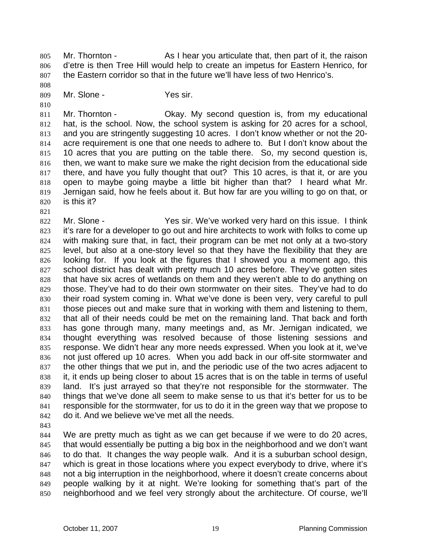Mr. Thornton - As I hear you articulate that, then part of it, the raison d'etre is then Tree Hill would help to create an impetus for Eastern Henrico, for the Eastern corridor so that in the future we'll have less of two Henrico's.

809 Mr. Slone - Yes sir.

Mr. Thornton - Okay. My second question is, from my educational hat, is the school. Now, the school system is asking for 20 acres for a school, and you are stringently suggesting 10 acres. I don't know whether or not the 20- acre requirement is one that one needs to adhere to. But I don't know about the 815 10 acres that you are putting on the table there. So, my second question is, then, we want to make sure we make the right decision from the educational side there, and have you fully thought that out? This 10 acres, is that it, or are you open to maybe going maybe a little bit higher than that? I heard what Mr. Jernigan said, how he feels about it. But how far are you willing to go on that, or is this it?

822 Mr. Slone - Yes sir. We've worked very hard on this issue. I think it's rare for a developer to go out and hire architects to work with folks to come up with making sure that, in fact, their program can be met not only at a two-story level, but also at a one-story level so that they have the flexibility that they are looking for. If you look at the figures that I showed you a moment ago, this school district has dealt with pretty much 10 acres before. They've gotten sites that have six acres of wetlands on them and they weren't able to do anything on those. They've had to do their own stormwater on their sites. They've had to do their road system coming in. What we've done is been very, very careful to pull those pieces out and make sure that in working with them and listening to them, that all of their needs could be met on the remaining land. That back and forth has gone through many, many meetings and, as Mr. Jernigan indicated, we thought everything was resolved because of those listening sessions and response. We didn't hear any more needs expressed. When you look at it, we've not just offered up 10 acres. When you add back in our off-site stormwater and the other things that we put in, and the periodic use of the two acres adjacent to it, it ends up being closer to about 15 acres that is on the table in terms of useful land. It's just arrayed so that they're not responsible for the stormwater. The things that we've done all seem to make sense to us that it's better for us to be responsible for the stormwater, for us to do it in the green way that we propose to do it. And we believe we've met all the needs.

We are pretty much as tight as we can get because if we were to do 20 acres, that would essentially be putting a big box in the neighborhood and we don't want to do that. It changes the way people walk. And it is a suburban school design, which is great in those locations where you expect everybody to drive, where it's not a big interruption in the neighborhood, where it doesn't create concerns about people walking by it at night. We're looking for something that's part of the neighborhood and we feel very strongly about the architecture. Of course, we'll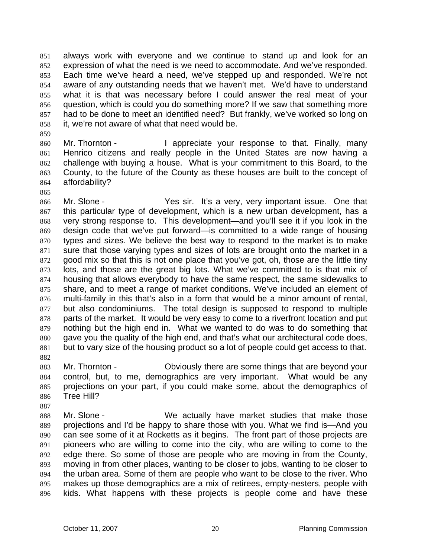always work with everyone and we continue to stand up and look for an expression of what the need is we need to accommodate. And we've responded. Each time we've heard a need, we've stepped up and responded. We're not aware of any outstanding needs that we haven't met. We'd have to understand what it is that was necessary before I could answer the real meat of your question, which is could you do something more? If we saw that something more had to be done to meet an identified need? But frankly, we've worked so long on it, we're not aware of what that need would be.

860 Mr. Thornton - I appreciate your response to that. Finally, many Henrico citizens and really people in the United States are now having a challenge with buying a house. What is your commitment to this Board, to the County, to the future of the County as these houses are built to the concept of affordability?

Mr. Slone - Yes sir. It's a very, very important issue. One that this particular type of development, which is a new urban development, has a very strong response to. This development—and you'll see it if you look in the design code that we've put forward—is committed to a wide range of housing types and sizes. We believe the best way to respond to the market is to make sure that those varying types and sizes of lots are brought onto the market in a good mix so that this is not one place that you've got, oh, those are the little tiny lots, and those are the great big lots. What we've committed to is that mix of housing that allows everybody to have the same respect, the same sidewalks to share, and to meet a range of market conditions. We've included an element of multi-family in this that's also in a form that would be a minor amount of rental, but also condominiums. The total design is supposed to respond to multiple 878 parts of the market. It would be very easy to come to a riverfront location and put nothing but the high end in. What we wanted to do was to do something that gave you the quality of the high end, and that's what our architectural code does, but to vary size of the housing product so a lot of people could get access to that. 

Mr. Thornton - Obviously there are some things that are beyond your control, but, to me, demographics are very important. What would be any projections on your part, if you could make some, about the demographics of Tree Hill?

888 Mr. Slone - We actually have market studies that make those projections and I'd be happy to share those with you. What we find is—And you can see some of it at Rocketts as it begins. The front part of those projects are pioneers who are willing to come into the city, who are willing to come to the edge there. So some of those are people who are moving in from the County, moving in from other places, wanting to be closer to jobs, wanting to be closer to the urban area. Some of them are people who want to be close to the river. Who makes up those demographics are a mix of retirees, empty-nesters, people with kids. What happens with these projects is people come and have these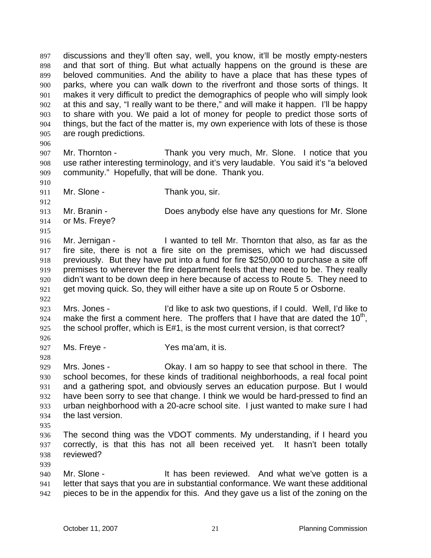discussions and they'll often say, well, you know, it'll be mostly empty-nesters and that sort of thing. But what actually happens on the ground is these are beloved communities. And the ability to have a place that has these types of parks, where you can walk down to the riverfront and those sorts of things. It makes it very difficult to predict the demographics of people who will simply look at this and say, "I really want to be there," and will make it happen. I'll be happy to share with you. We paid a lot of money for people to predict those sorts of things, but the fact of the matter is, my own experience with lots of these is those are rough predictions.

Mr. Thornton - Thank you very much, Mr. Slone. I notice that you use rather interesting terminology, and it's very laudable. You said it's "a beloved community." Hopefully, that will be done. Thank you.

- 911 Mr. Slone Thank you, sir.
- Mr. Branin - Does anybody else have any questions for Mr. Slone or Ms. Freye?

Mr. Jernigan - I wanted to tell Mr. Thornton that also, as far as the fire site, there is not a fire site on the premises, which we had discussed previously. But they have put into a fund for fire \$250,000 to purchase a site off premises to wherever the fire department feels that they need to be. They really didn't want to be down deep in here because of access to Route 5. They need to get moving quick. So, they will either have a site up on Route 5 or Osborne.

- Mrs. Jones I'd like to ask two questions, if I could. Well, I'd like to 924 make the first a comment here. The proffers that I have that are dated the  $10<sup>th</sup>$ , the school proffer, which is E#1, is the most current version, is that correct?
- Ms. Freye Yes ma'am, it is.
- Mrs. Jones Okay. I am so happy to see that school in there. The school becomes, for these kinds of traditional neighborhoods, a real focal point and a gathering spot, and obviously serves an education purpose. But I would have been sorry to see that change. I think we would be hard-pressed to find an urban neighborhood with a 20-acre school site. I just wanted to make sure I had the last version.
- 

- The second thing was the VDOT comments. My understanding, if I heard you correctly, is that this has not all been received yet. It hasn't been totally reviewed?
- 940 Mr. Slone It has been reviewed. And what we've gotten is a letter that says that you are in substantial conformance. We want these additional pieces to be in the appendix for this. And they gave us a list of the zoning on the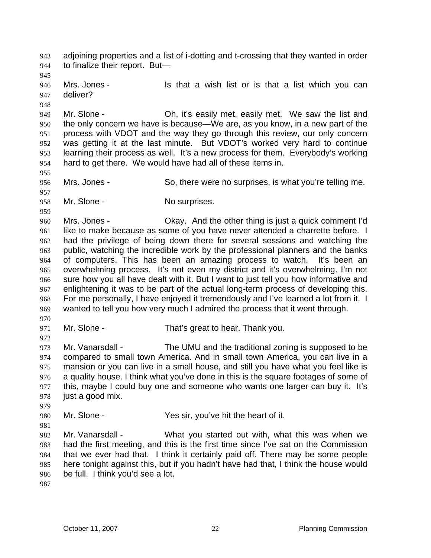adjoining properties and a list of i-dotting and t-crossing that they wanted in order to finalize their report. But— 946 Mrs. Jones - Is that a wish list or is that a list which you can deliver? Mr. Slone - Oh, it's easily met, easily met. We saw the list and the only concern we have is because—We are, as you know, in a new part of the process with VDOT and the way they go through this review, our only concern was getting it at the last minute. But VDOT's worked very hard to continue learning their process as well. It's a new process for them. Everybody's working hard to get there. We would have had all of these items in. Mrs. Jones - So, there were no surprises, is what you're telling me. 958 Mr. Slone - No surprises. Mrs. Jones - Okay. And the other thing is just a quick comment I'd 961 like to make because as some of you have never attended a charrette before. I had the privilege of being down there for several sessions and watching the public, watching the incredible work by the professional planners and the banks of computers. This has been an amazing process to watch. It's been an overwhelming process. It's not even my district and it's overwhelming. I'm not sure how you all have dealt with it. But I want to just tell you how informative and enlightening it was to be part of the actual long-term process of developing this. For me personally, I have enjoyed it tremendously and I've learned a lot from it. I wanted to tell you how very much I admired the process that it went through. 971 Mr. Slone - That's great to hear. Thank you. Mr. Vanarsdall - The UMU and the traditional zoning is supposed to be compared to small town America. And in small town America, you can live in a mansion or you can live in a small house, and still you have what you feel like is a quality house. I think what you've done in this is the square footages of some of this, maybe I could buy one and someone who wants one larger can buy it. It's just a good mix. Mr. Slone - Yes sir, you've hit the heart of it. Mr. Vanarsdall - What you started out with, what this was when we had the first meeting, and this is the first time since I've sat on the Commission that we ever had that. I think it certainly paid off. There may be some people here tonight against this, but if you hadn't have had that, I think the house would be full. I think you'd see a lot.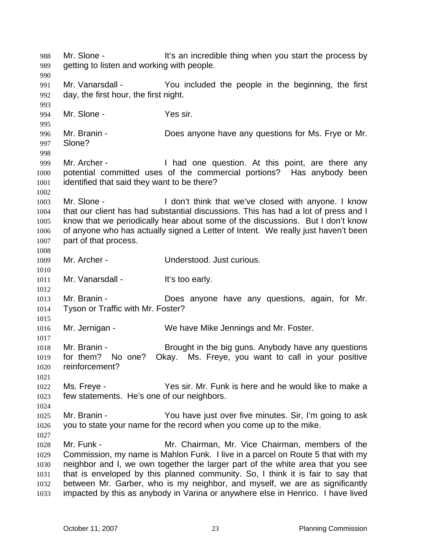988 Mr. Slone - It's an incredible thing when you start the process by getting to listen and working with people. Mr. Vanarsdall - You included the people in the beginning, the first day, the first hour, the first night. Mr. Slone - Yes sir. Mr. Branin - Does anyone have any questions for Ms. Frye or Mr. Slone? 999 Mr. Archer - I had one question. At this point, are there any potential committed uses of the commercial portions? Has anybody been identified that said they want to be there? 1003 Mr. Slone - I don't think that we've closed with anyone. I know that our client has had substantial discussions. This has had a lot of press and I know that we periodically hear about some of the discussions. But I don't know 1006 of anyone who has actually signed a Letter of Intent. We really just haven't been part of that process. Mr. Archer - Understood. Just curious. 1011 Mr. Vanarsdall - It's too early. Mr. Branin - Does anyone have any questions, again, for Mr. Tyson or Traffic with Mr. Foster? Mr. Jernigan - We have Mike Jennings and Mr. Foster. 1018 Mr. Branin - Brought in the big guns. Anybody have any questions for them? No one? Okay. Ms. Freye, you want to call in your positive reinforcement? Ms. Freye - Yes sir. Mr. Funk is here and he would like to make a few statements. He's one of our neighbors. Mr. Branin - You have just over five minutes. Sir, I'm going to ask you to state your name for the record when you come up to the mike. Mr. Funk - Mr. Chairman, Mr. Vice Chairman, members of the Commission, my name is Mahlon Funk. I live in a parcel on Route 5 that with my neighbor and I, we own together the larger part of the white area that you see that is enveloped by this planned community. So, I think it is fair to say that between Mr. Garber, who is my neighbor, and myself, we are as significantly impacted by this as anybody in Varina or anywhere else in Henrico. I have lived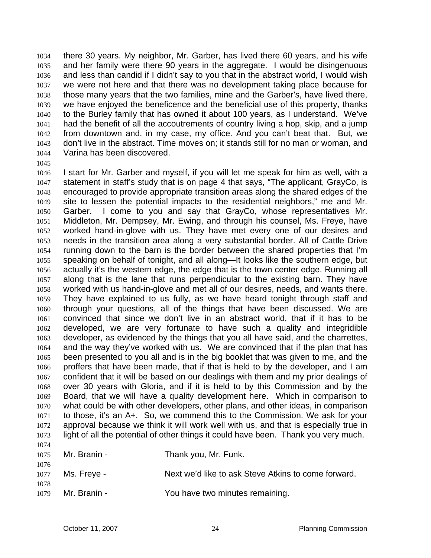there 30 years. My neighbor, Mr. Garber, has lived there 60 years, and his wife and her family were there 90 years in the aggregate. I would be disingenuous and less than candid if I didn't say to you that in the abstract world, I would wish we were not here and that there was no development taking place because for those many years that the two families, mine and the Garber's, have lived there, we have enjoyed the beneficence and the beneficial use of this property, thanks to the Burley family that has owned it about 100 years, as I understand. We've had the benefit of all the accoutrements of country living a hop, skip, and a jump from downtown and, in my case, my office. And you can't beat that. But, we don't live in the abstract. Time moves on; it stands still for no man or woman, and Varina has been discovered.

I start for Mr. Garber and myself, if you will let me speak for him as well, with a statement in staff's study that is on page 4 that says, "The applicant, GrayCo, is encouraged to provide appropriate transition areas along the shared edges of the site to lessen the potential impacts to the residential neighbors," me and Mr. Garber. I come to you and say that GrayCo, whose representatives Mr. Middleton, Mr. Dempsey, Mr. Ewing, and through his counsel, Ms. Freye, have worked hand-in-glove with us. They have met every one of our desires and needs in the transition area along a very substantial border. All of Cattle Drive running down to the barn is the border between the shared properties that I'm speaking on behalf of tonight, and all along—It looks like the southern edge, but actually it's the western edge, the edge that is the town center edge. Running all along that is the lane that runs perpendicular to the existing barn. They have worked with us hand-in-glove and met all of our desires, needs, and wants there. They have explained to us fully, as we have heard tonight through staff and through your questions, all of the things that have been discussed. We are convinced that since we don't live in an abstract world, that if it has to be developed, we are very fortunate to have such a quality and integridible developer, as evidenced by the things that you all have said, and the charrettes, and the way they've worked with us. We are convinced that if the plan that has been presented to you all and is in the big booklet that was given to me, and the proffers that have been made, that if that is held to by the developer, and I am confident that it will be based on our dealings with them and my prior dealings of over 30 years with Gloria, and if it is held to by this Commission and by the Board, that we will have a quality development here. Which in comparison to what could be with other developers, other plans, and other ideas, in comparison to those, it's an A+. So, we commend this to the Commission. We ask for your approval because we think it will work well with us, and that is especially true in light of all the potential of other things it could have been. Thank you very much. 

| $1111 +$     | $1075$ Mr. Branin - | Thank you, Mr. Funk.                                |
|--------------|---------------------|-----------------------------------------------------|
| 1076         | 1077 Ms. Freye -    | Next we'd like to ask Steve Atkins to come forward. |
| 1078<br>1079 | Mr. Branin -        | You have two minutes remaining.                     |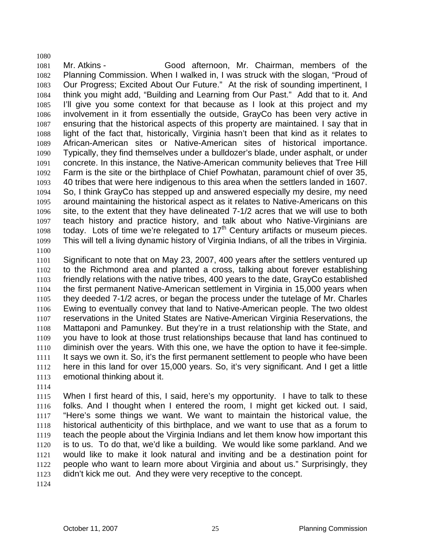Mr. Atkins - Good afternoon, Mr. Chairman, members of the Planning Commission. When I walked in, I was struck with the slogan, "Proud of Our Progress; Excited About Our Future." At the risk of sounding impertinent, I think you might add, "Building and Learning from Our Past." Add that to it. And I'll give you some context for that because as I look at this project and my involvement in it from essentially the outside, GrayCo has been very active in ensuring that the historical aspects of this property are maintained. I say that in light of the fact that, historically, Virginia hasn't been that kind as it relates to African-American sites or Native-American sites of historical importance. Typically, they find themselves under a bulldozer's blade, under asphalt, or under concrete. In this instance, the Native-American community believes that Tree Hill Farm is the site or the birthplace of Chief Powhatan, paramount chief of over 35, 40 tribes that were here indigenous to this area when the settlers landed in 1607. So, I think GrayCo has stepped up and answered especially my desire, my need around maintaining the historical aspect as it relates to Native-Americans on this site, to the extent that they have delineated 7-1/2 acres that we will use to both teach history and practice history, and talk about who Native-Virginians are 1098 today. Lots of time we're relegated to  $17<sup>th</sup>$  Century artifacts or museum pieces. This will tell a living dynamic history of Virginia Indians, of all the tribes in Virginia. 

Significant to note that on May 23, 2007, 400 years after the settlers ventured up to the Richmond area and planted a cross, talking about forever establishing friendly relations with the native tribes, 400 years to the date, GrayCo established the first permanent Native-American settlement in Virginia in 15,000 years when they deeded 7-1/2 acres, or began the process under the tutelage of Mr. Charles Ewing to eventually convey that land to Native-American people. The two oldest reservations in the United States are Native-American Virginia Reservations, the Mattaponi and Pamunkey. But they're in a trust relationship with the State, and you have to look at those trust relationships because that land has continued to diminish over the years. With this one, we have the option to have it fee-simple. 1111 It says we own it. So, it's the first permanent settlement to people who have been here in this land for over 15,000 years. So, it's very significant. And I get a little emotional thinking about it.

When I first heard of this, I said, here's my opportunity. I have to talk to these folks. And I thought when I entered the room, I might get kicked out. I said, "Here's some things we want. We want to maintain the historical value, the historical authenticity of this birthplace, and we want to use that as a forum to teach the people about the Virginia Indians and let them know how important this is to us. To do that, we'd like a building. We would like some parkland. And we would like to make it look natural and inviting and be a destination point for people who want to learn more about Virginia and about us." Surprisingly, they didn't kick me out. And they were very receptive to the concept.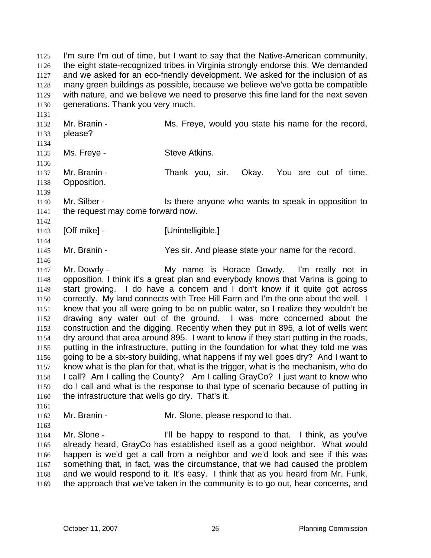I'm sure I'm out of time, but I want to say that the Native-American community, the eight state-recognized tribes in Virginia strongly endorse this. We demanded and we asked for an eco-friendly development. We asked for the inclusion of as many green buildings as possible, because we believe we've gotta be compatible with nature, and we believe we need to preserve this fine land for the next seven generations. Thank you very much.

1132 Mr. Branin - Ms. Freye, would you state his name for the record, please? 1135 Ms. Freye - Steve Atkins. Mr. Branin - Thank you, sir. Okay. You are out of time. Opposition. 1140 Mr. Silber - Is there anyone who wants to speak in opposition to the request may come forward now.

**[Off mike] - [Unintelligible.]** 

Mr. Branin - Yes sir. And please state your name for the record.

Mr. Dowdy - My name is Horace Dowdy. I'm really not in opposition. I think it's a great plan and everybody knows that Varina is going to start growing. I do have a concern and I don't know if it quite got across correctly. My land connects with Tree Hill Farm and I'm the one about the well. I knew that you all were going to be on public water, so I realize they wouldn't be drawing any water out of the ground. I was more concerned about the construction and the digging. Recently when they put in 895, a lot of wells went dry around that area around 895. I want to know if they start putting in the roads, putting in the infrastructure, putting in the foundation for what they told me was going to be a six-story building, what happens if my well goes dry? And I want to know what is the plan for that, what is the trigger, what is the mechanism, who do I call? Am I calling the County? Am I calling GrayCo? I just want to know who do I call and what is the response to that type of scenario because of putting in the infrastructure that wells go dry. That's it.

1162 Mr. Branin - Mr. Slone, please respond to that.

1164 Mr. Slone - I'll be happy to respond to that. I think, as you've already heard, GrayCo has established itself as a good neighbor. What would happen is we'd get a call from a neighbor and we'd look and see if this was something that, in fact, was the circumstance, that we had caused the problem and we would respond to it. It's easy. I think that as you heard from Mr. Funk, the approach that we've taken in the community is to go out, hear concerns, and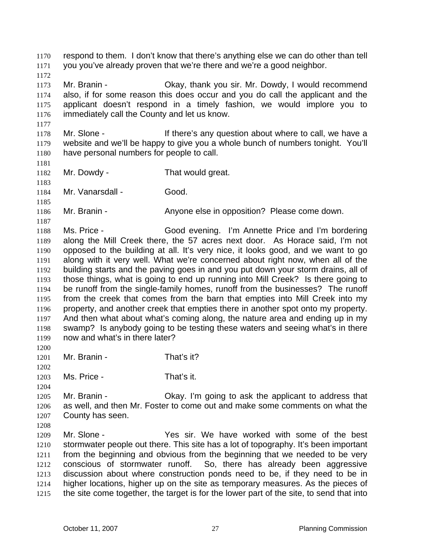respond to them. I don't know that there's anything else we can do other than tell you you've already proven that we're there and we're a good neighbor.

Mr. Branin - Okay, thank you sir. Mr. Dowdy, I would recommend also, if for some reason this does occur and you do call the applicant and the applicant doesn't respond in a timely fashion, we would implore you to immediately call the County and let us know.

1178 Mr. Slone - If there's any question about where to call, we have a website and we'll be happy to give you a whole bunch of numbers tonight. You'll have personal numbers for people to call.

Mr. Dowdy - That would great.

Mr. Vanarsdall - Good.

1186 Mr. Branin - Anyone else in opposition? Please come down.

 Ms. Price - Good evening. I'm Annette Price and I'm bordering along the Mill Creek there, the 57 acres next door. As Horace said, I'm not opposed to the building at all. It's very nice, it looks good, and we want to go along with it very well. What we're concerned about right now, when all of the building starts and the paving goes in and you put down your storm drains, all of those things, what is going to end up running into Mill Creek? Is there going to be runoff from the single-family homes, runoff from the businesses? The runoff from the creek that comes from the barn that empties into Mill Creek into my property, and another creek that empties there in another spot onto my property. And then what about what's coming along, the nature area and ending up in my swamp? Is anybody going to be testing these waters and seeing what's in there now and what's in there later?

1201 Mr. Branin - That's it?

Ms. Price - That's it.

 Mr. Branin - Okay. I'm going to ask the applicant to address that as well, and then Mr. Foster to come out and make some comments on what the County has seen.

Mr. Slone - Yes sir. We have worked with some of the best stormwater people out there. This site has a lot of topography. It's been important from the beginning and obvious from the beginning that we needed to be very conscious of stormwater runoff. So, there has already been aggressive discussion about where construction ponds need to be, if they need to be in higher locations, higher up on the site as temporary measures. As the pieces of the site come together, the target is for the lower part of the site, to send that into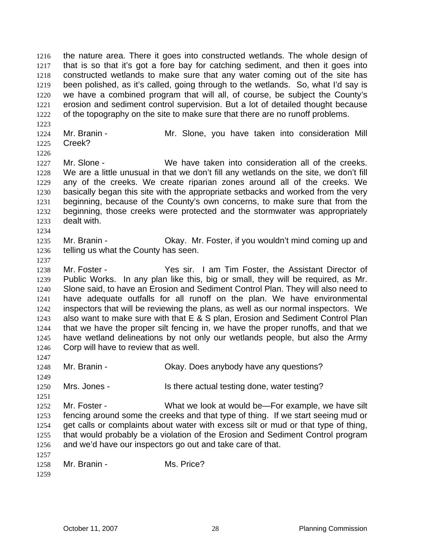the nature area. There it goes into constructed wetlands. The whole design of that is so that it's got a fore bay for catching sediment, and then it goes into constructed wetlands to make sure that any water coming out of the site has been polished, as it's called, going through to the wetlands. So, what I'd say is we have a combined program that will all, of course, be subject the County's erosion and sediment control supervision. But a lot of detailed thought because of the topography on the site to make sure that there are no runoff problems.

Mr. Branin - Mr. Slone, you have taken into consideration Mill Creek?

Mr. Slone - We have taken into consideration all of the creeks. We are a little unusual in that we don't fill any wetlands on the site, we don't fill any of the creeks. We create riparian zones around all of the creeks. We basically began this site with the appropriate setbacks and worked from the very beginning, because of the County's own concerns, to make sure that from the beginning, those creeks were protected and the stormwater was appropriately dealt with.

- 1235 Mr. Branin Ckay. Mr. Foster, if you wouldn't mind coming up and telling us what the County has seen.
- 

Mr. Foster - Yes sir. I am Tim Foster, the Assistant Director of Public Works. In any plan like this, big or small, they will be required, as Mr. Slone said, to have an Erosion and Sediment Control Plan. They will also need to have adequate outfalls for all runoff on the plan. We have environmental inspectors that will be reviewing the plans, as well as our normal inspectors. We also want to make sure with that E & S plan, Erosion and Sediment Control Plan that we have the proper silt fencing in, we have the proper runoffs, and that we have wetland delineations by not only our wetlands people, but also the Army Corp will have to review that as well. 

1248 Mr. Branin - Ckay. Does anybody have any questions? 

Mrs. Jones - Is there actual testing done, water testing?

1252 Mr. Foster - What we look at would be—For example, we have silt fencing around some the creeks and that type of thing. If we start seeing mud or get calls or complaints about water with excess silt or mud or that type of thing, that would probably be a violation of the Erosion and Sediment Control program and we'd have our inspectors go out and take care of that. 

1258 Mr. Branin - Ms. Price?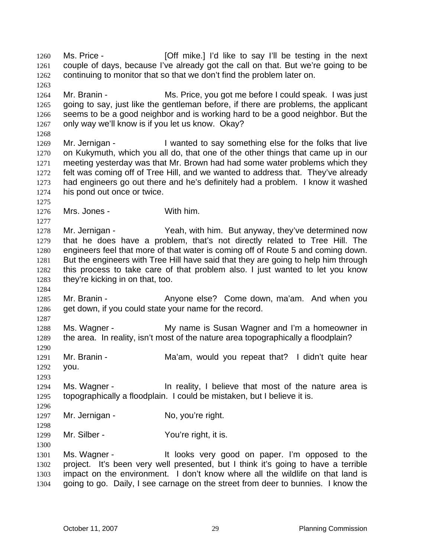Ms. Price - [Off mike.] I'd like to say I'll be testing in the next couple of days, because I've already got the call on that. But we're going to be continuing to monitor that so that we don't find the problem later on. Mr. Branin - Ms. Price, you got me before I could speak. I was just going to say, just like the gentleman before, if there are problems, the applicant seems to be a good neighbor and is working hard to be a good neighbor. But the only way we'll know is if you let us know. Okay? 1269 Mr. Jernigan - I wanted to say something else for the folks that live on Kukymuth, which you all do, that one of the other things that came up in our meeting yesterday was that Mr. Brown had had some water problems which they felt was coming off of Tree Hill, and we wanted to address that. They've already had engineers go out there and he's definitely had a problem. I know it washed his pond out once or twice. Mrs. Jones - With him. Mr. Jernigan - Yeah, with him. But anyway, they've determined now that he does have a problem, that's not directly related to Tree Hill. The engineers feel that more of that water is coming off of Route 5 and coming down. But the engineers with Tree Hill have said that they are going to help him through this process to take care of that problem also. I just wanted to let you know they're kicking in on that, too. 1285 Mr. Branin - Anyone else? Come down, ma'am. And when you 1286 get down, if you could state your name for the record. Ms. Wagner - My name is Susan Wagner and I'm a homeowner in the area. In reality, isn't most of the nature area topographically a floodplain? 1291 Mr. Branin - Ma'am, would you repeat that? I didn't quite hear you. 1294 Ms. Wagner - In reality, I believe that most of the nature area is topographically a floodplain. I could be mistaken, but I believe it is. 1297 Mr. Jernigan - No, you're right. 1299 Mr. Silber - You're right, it is. Ms. Wagner - It looks very good on paper. I'm opposed to the project. It's been very well presented, but I think it's going to have a terrible impact on the environment. I don't know where all the wildlife on that land is going to go. Daily, I see carnage on the street from deer to bunnies. I know the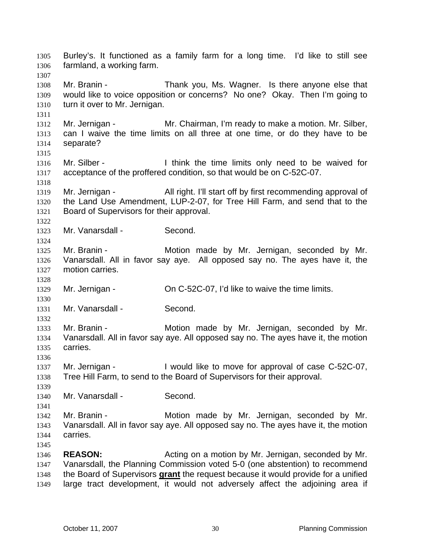Burley's. It functioned as a family farm for a long time. I'd like to still see farmland, a working farm. Mr. Branin - Thank you, Ms. Wagner. Is there anyone else that would like to voice opposition or concerns? No one? Okay. Then I'm going to turn it over to Mr. Jernigan. Mr. Jernigan - Mr. Chairman, I'm ready to make a motion. Mr. Silber, can I waive the time limits on all three at one time, or do they have to be separate? 1316 Mr. Silber - I think the time limits only need to be waived for acceptance of the proffered condition, so that would be on C-52C-07. Mr. Jernigan - All right. I'll start off by first recommending approval of the Land Use Amendment, LUP-2-07, for Tree Hill Farm, and send that to the Board of Supervisors for their approval. Mr. Vanarsdall - Second. Mr. Branin - Motion made by Mr. Jernigan, seconded by Mr. Vanarsdall. All in favor say aye. All opposed say no. The ayes have it, the motion carries. Mr. Jernigan - On C-52C-07, I'd like to waive the time limits. Mr. Vanarsdall - Second. Mr. Branin - Motion made by Mr. Jernigan, seconded by Mr. Vanarsdall. All in favor say aye. All opposed say no. The ayes have it, the motion carries. Mr. Jernigan - I would like to move for approval of case C-52C-07, Tree Hill Farm, to send to the Board of Supervisors for their approval. Mr. Vanarsdall - Second. Mr. Branin - Motion made by Mr. Jernigan, seconded by Mr. Vanarsdall. All in favor say aye. All opposed say no. The ayes have it, the motion carries. **REASON:** Acting on a motion by Mr. Jernigan, seconded by Mr. Vanarsdall, the Planning Commission voted 5-0 (one abstention) to recommend the Board of Supervisors **grant** the request because it would provide for a unified large tract development, it would not adversely affect the adjoining area if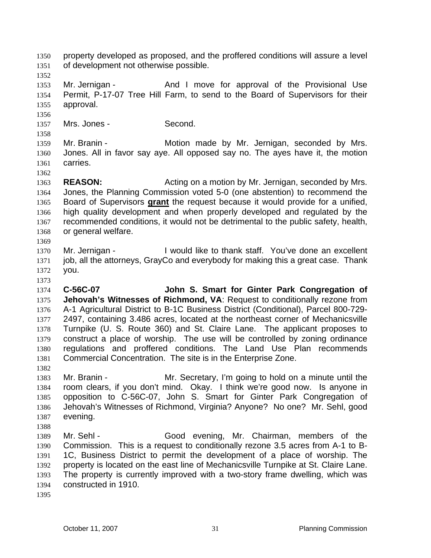property developed as proposed, and the proffered conditions will assure a level of development not otherwise possible.

1353 Mr. Jernigan - And I move for approval of the Provisional Use Permit, P-17-07 Tree Hill Farm, to send to the Board of Supervisors for their approval.

1357 Mrs. Jones - Second.

Mr. Branin - Motion made by Mr. Jernigan, seconded by Mrs. Jones. All in favor say aye. All opposed say no. The ayes have it, the motion carries.

**REASON:** Acting on a motion by Mr. Jernigan, seconded by Mrs. Jones, the Planning Commission voted 5-0 (one abstention) to recommend the Board of Supervisors **grant** the request because it would provide for a unified, high quality development and when properly developed and regulated by the recommended conditions, it would not be detrimental to the public safety, health, or general welfare. 

1370 Mr. Jernigan - I would like to thank staff. You've done an excellent job, all the attorneys, GrayCo and everybody for making this a great case. Thank you.

**C-56C-07 John S. Smart for Ginter Park Congregation of Jehovah's Witnesses of Richmond, VA**: Request to conditionally rezone from A-1 Agricultural District to B-1C Business District (Conditional), Parcel 800-729- 2497, containing 3.486 acres, located at the northeast corner of Mechanicsville Turnpike (U. S. Route 360) and St. Claire Lane. The applicant proposes to construct a place of worship. The use will be controlled by zoning ordinance regulations and proffered conditions. The Land Use Plan recommends Commercial Concentration. The site is in the Enterprise Zone.

Mr. Branin - Mr. Secretary, I'm going to hold on a minute until the room clears, if you don't mind. Okay. I think we're good now. Is anyone in opposition to C-56C-07, John S. Smart for Ginter Park Congregation of Jehovah's Witnesses of Richmond, Virginia? Anyone? No one? Mr. Sehl, good evening.

1389 Mr. Sehl - Good evening, Mr. Chairman, members of the Commission. This is a request to conditionally rezone 3.5 acres from A-1 to B-1C, Business District to permit the development of a place of worship. The property is located on the east line of Mechanicsville Turnpike at St. Claire Lane. The property is currently improved with a two-story frame dwelling, which was constructed in 1910.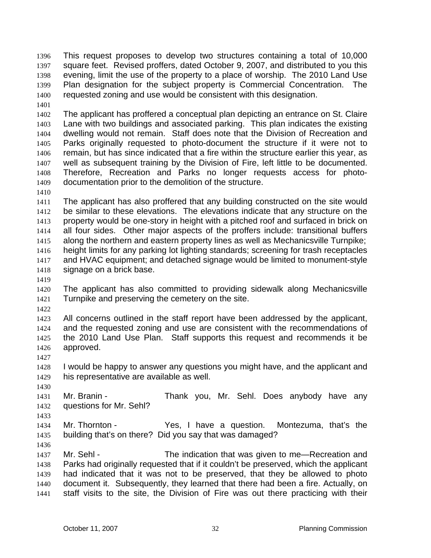This request proposes to develop two structures containing a total of 10,000 square feet. Revised proffers, dated October 9, 2007, and distributed to you this evening, limit the use of the property to a place of worship. The 2010 Land Use Plan designation for the subject property is Commercial Concentration. The requested zoning and use would be consistent with this designation.

The applicant has proffered a conceptual plan depicting an entrance on St. Claire Lane with two buildings and associated parking. This plan indicates the existing dwelling would not remain. Staff does note that the Division of Recreation and Parks originally requested to photo-document the structure if it were not to remain, but has since indicated that a fire within the structure earlier this year, as well as subsequent training by the Division of Fire, left little to be documented. Therefore, Recreation and Parks no longer requests access for photo-documentation prior to the demolition of the structure.

The applicant has also proffered that any building constructed on the site would be similar to these elevations. The elevations indicate that any structure on the property would be one-story in height with a pitched roof and surfaced in brick on all four sides. Other major aspects of the proffers include: transitional buffers along the northern and eastern property lines as well as Mechanicsville Turnpike; height limits for any parking lot lighting standards; screening for trash receptacles and HVAC equipment; and detached signage would be limited to monument-style signage on a brick base.

The applicant has also committed to providing sidewalk along Mechanicsville Turnpike and preserving the cemetery on the site.

All concerns outlined in the staff report have been addressed by the applicant, and the requested zoning and use are consistent with the recommendations of the 2010 Land Use Plan. Staff supports this request and recommends it be approved.

I would be happy to answer any questions you might have, and the applicant and his representative are available as well.

Mr. Branin - Thank you, Mr. Sehl. Does anybody have any questions for Mr. Sehl?

Mr. Thornton - Yes, I have a question. Montezuma, that's the building that's on there? Did you say that was damaged?

1437 Mr. Sehl - The indication that was given to me—Recreation and Parks had originally requested that if it couldn't be preserved, which the applicant had indicated that it was not to be preserved, that they be allowed to photo document it. Subsequently, they learned that there had been a fire. Actually, on staff visits to the site, the Division of Fire was out there practicing with their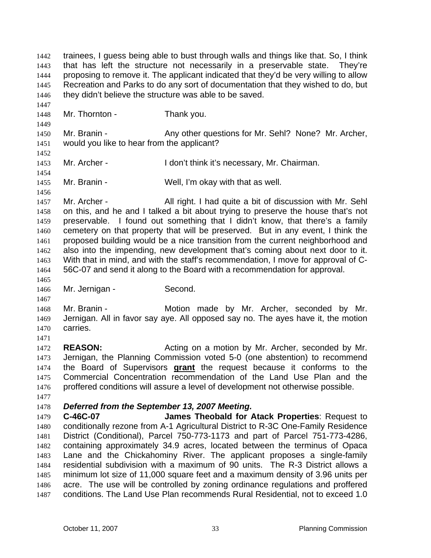trainees, I guess being able to bust through walls and things like that. So, I think that has left the structure not necessarily in a preservable state. They're proposing to remove it. The applicant indicated that they'd be very willing to allow Recreation and Parks to do any sort of documentation that they wished to do, but 1446 they didn't believe the structure was able to be saved.

Mr. Thornton - Thank you.

1450 Mr. Branin - Any other questions for Mr. Sehl? None? Mr. Archer, would you like to hear from the applicant?

1453 Mr. Archer - I don't think it's necessary, Mr. Chairman.

Mr. Branin - Well, I'm okay with that as well.

1457 Mr. Archer - All right. I had quite a bit of discussion with Mr. Sehl on this, and he and I talked a bit about trying to preserve the house that's not preservable. I found out something that I didn't know, that there's a family cemetery on that property that will be preserved. But in any event, I think the proposed building would be a nice transition from the current neighborhood and also into the impending, new development that's coming about next door to it. With that in mind, and with the staff's recommendation, I move for approval of C-56C-07 and send it along to the Board with a recommendation for approval.

Mr. Jernigan - Second.

1468 Mr. Branin - Motion made by Mr. Archer, seconded by Mr. Jernigan. All in favor say aye. All opposed say no. The ayes have it, the motion carries.

**REASON:** Acting on a motion by Mr. Archer, seconded by Mr. Jernigan, the Planning Commission voted 5-0 (one abstention) to recommend the Board of Supervisors **grant** the request because it conforms to the Commercial Concentration recommendation of the Land Use Plan and the proffered conditions will assure a level of development not otherwise possible.

## *Deferred from the September 13, 2007 Meeting.*

**C-46C-07 James Theobald for Atack Properties**: Request to conditionally rezone from A-1 Agricultural District to R-3C One-Family Residence District (Conditional), Parcel 750-773-1173 and part of Parcel 751-773-4286, containing approximately 34.9 acres, located between the terminus of Opaca Lane and the Chickahominy River. The applicant proposes a single-family residential subdivision with a maximum of 90 units. The R-3 District allows a minimum lot size of 11,000 square feet and a maximum density of 3.96 units per acre. The use will be controlled by zoning ordinance regulations and proffered conditions. The Land Use Plan recommends Rural Residential, not to exceed 1.0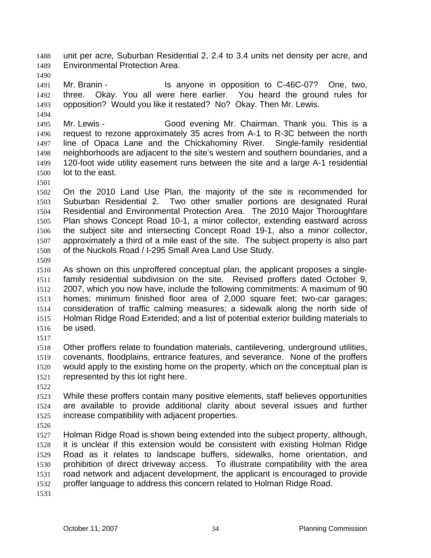unit per acre, Suburban Residential 2, 2.4 to 3.4 units net density per acre, and Environmental Protection Area.

1491 Mr. Branin - Is anyone in opposition to C-46C-07? One, two, three. Okay. You all were here earlier. You heard the ground rules for opposition? Would you like it restated? No? Okay. Then Mr. Lewis.

Mr. Lewis - Good evening Mr. Chairman. Thank you. This is a request to rezone approximately 35 acres from A-1 to R-3C between the north line of Opaca Lane and the Chickahominy River. Single-family residential neighborhoods are adjacent to the site's western and southern boundaries, and a 120-foot wide utility easement runs between the site and a large A-1 residential lot to the east.

On the 2010 Land Use Plan, the majority of the site is recommended for Suburban Residential 2. Two other smaller portions are designated Rural Residential and Environmental Protection Area. The 2010 Major Thoroughfare Plan shows Concept Road 10-1, a minor collector, extending eastward across the subject site and intersecting Concept Road 19-1, also a minor collector, approximately a third of a mile east of the site. The subject property is also part of the Nuckols Road / I-295 Small Area Land Use Study.

As shown on this unproffered conceptual plan, the applicant proposes a single-family residential subdivision on the site. Revised proffers dated October 9, 2007, which you now have, include the following commitments: A maximum of 90 homes; minimum finished floor area of 2,000 square feet; two-car garages; consideration of traffic calming measures; a sidewalk along the north side of Holman Ridge Road Extended; and a list of potential exterior building materials to be used.

Other proffers relate to foundation materials, cantilevering, underground utilities, covenants, floodplains, entrance features, and severance. None of the proffers would apply to the existing home on the property, which on the conceptual plan is represented by this lot right here.

While these proffers contain many positive elements, staff believes opportunities are available to provide additional clarity about several issues and further increase compatibility with adjacent properties. 

Holman Ridge Road is shown being extended into the subject property, although, it is unclear if this extension would be consistent with existing Holman Ridge Road as it relates to landscape buffers, sidewalks, home orientation, and prohibition of direct driveway access. To illustrate compatibility with the area road network and adjacent development, the applicant is encouraged to provide proffer language to address this concern related to Holman Ridge Road.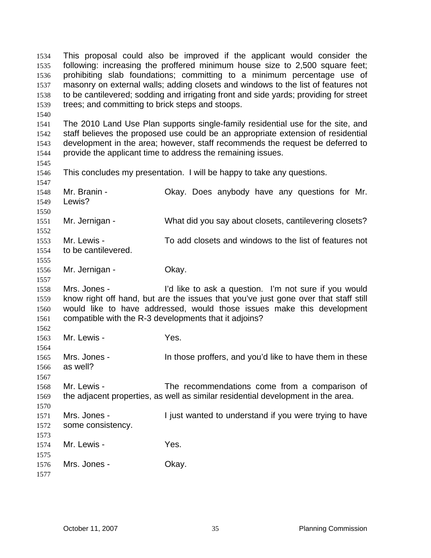This proposal could also be improved if the applicant would consider the following: increasing the proffered minimum house size to 2,500 square feet; prohibiting slab foundations; committing to a minimum percentage use of masonry on external walls; adding closets and windows to the list of features not to be cantilevered; sodding and irrigating front and side yards; providing for street trees; and committing to brick steps and stoops. The 2010 Land Use Plan supports single-family residential use for the site, and staff believes the proposed use could be an appropriate extension of residential development in the area; however, staff recommends the request be deferred to provide the applicant time to address the remaining issues. This concludes my presentation. I will be happy to take any questions. Mr. Branin - Okay. Does anybody have any questions for Mr. Lewis? Mr. Jernigan - What did you say about closets, cantilevering closets? Mr. Lewis - To add closets and windows to the list of features not to be cantilevered. Mr. Jernigan - Okay. Mrs. Jones - I'd like to ask a question. I'm not sure if you would know right off hand, but are the issues that you've just gone over that staff still would like to have addressed, would those issues make this development compatible with the R-3 developments that it adjoins? Mr. Lewis - Yes. Mrs. Jones - In those proffers, and you'd like to have them in these as well? Mr. Lewis - The recommendations come from a comparison of the adjacent properties, as well as similar residential development in the area. Mrs. Jones - I just wanted to understand if you were trying to have some consistency. Mr. Lewis - Yes. 1576 Mrs. Jones - Okay.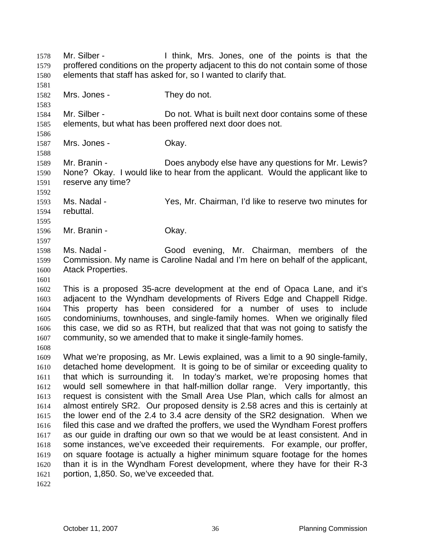Mr. Silber - I think, Mrs. Jones, one of the points is that the proffered conditions on the property adjacent to this do not contain some of those elements that staff has asked for, so I wanted to clarify that. 1582 Mrs. Jones - They do not. Mr. Silber - Do not. What is built next door contains some of these elements, but what has been proffered next door does not. 1587 Mrs. Jones - Okay. Mr. Branin - Does anybody else have any questions for Mr. Lewis? None? Okay. I would like to hear from the applicant. Would the applicant like to reserve any time? Ms. Nadal - Yes, Mr. Chairman, I'd like to reserve two minutes for rebuttal. Mr. Branin - Okay. Ms. Nadal - Good evening, Mr. Chairman, members of the Commission. My name is Caroline Nadal and I'm here on behalf of the applicant, Atack Properties. This is a proposed 35-acre development at the end of Opaca Lane, and it's adjacent to the Wyndham developments of Rivers Edge and Chappell Ridge. This property has been considered for a number of uses to include condominiums, townhouses, and single-family homes. When we originally filed this case, we did so as RTH, but realized that that was not going to satisfy the community, so we amended that to make it single-family homes. What we're proposing, as Mr. Lewis explained, was a limit to a 90 single-family, detached home development. It is going to be of similar or exceeding quality to that which is surrounding it. In today's market, we're proposing homes that would sell somewhere in that half-million dollar range. Very importantly, this request is consistent with the Small Area Use Plan, which calls for almost an almost entirely SR2. Our proposed density is 2.58 acres and this is certainly at the lower end of the 2.4 to 3.4 acre density of the SR2 designation. When we filed this case and we drafted the proffers, we used the Wyndham Forest proffers

portion, 1,850. So, we've exceeded that.

as our guide in drafting our own so that we would be at least consistent. And in some instances, we've exceeded their requirements. For example, our proffer, on square footage is actually a higher minimum square footage for the homes than it is in the Wyndham Forest development, where they have for their R-3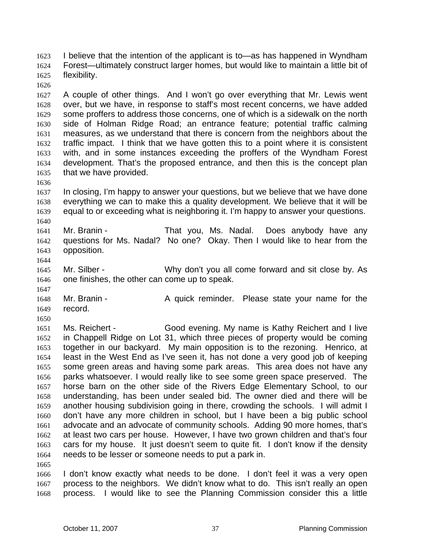I believe that the intention of the applicant is to—as has happened in Wyndham Forest—ultimately construct larger homes, but would like to maintain a little bit of flexibility.

A couple of other things. And I won't go over everything that Mr. Lewis went over, but we have, in response to staff's most recent concerns, we have added some proffers to address those concerns, one of which is a sidewalk on the north side of Holman Ridge Road; an entrance feature; potential traffic calming measures, as we understand that there is concern from the neighbors about the traffic impact. I think that we have gotten this to a point where it is consistent with, and in some instances exceeding the proffers of the Wyndham Forest development. That's the proposed entrance, and then this is the concept plan that we have provided.

In closing, I'm happy to answer your questions, but we believe that we have done everything we can to make this a quality development. We believe that it will be equal to or exceeding what is neighboring it. I'm happy to answer your questions. 

Mr. Branin - That you, Ms. Nadal. Does anybody have any questions for Ms. Nadal? No one? Okay. Then I would like to hear from the opposition.

Mr. Silber - Why don't you all come forward and sit close by. As one finishes, the other can come up to speak.

1648 Mr. Branin - A quick reminder. Please state your name for the record.

Ms. Reichert - Good evening. My name is Kathy Reichert and I live in Chappell Ridge on Lot 31, which three pieces of property would be coming together in our backyard. My main opposition is to the rezoning. Henrico, at least in the West End as I've seen it, has not done a very good job of keeping some green areas and having some park areas. This area does not have any parks whatsoever. I would really like to see some green space preserved. The horse barn on the other side of the Rivers Edge Elementary School, to our understanding, has been under sealed bid. The owner died and there will be another housing subdivision going in there, crowding the schools. I will admit I don't have any more children in school, but I have been a big public school advocate and an advocate of community schools. Adding 90 more homes, that's at least two cars per house. However, I have two grown children and that's four cars for my house. It just doesn't seem to quite fit. I don't know if the density needs to be lesser or someone needs to put a park in. 

I don't know exactly what needs to be done. I don't feel it was a very open process to the neighbors. We didn't know what to do. This isn't really an open process. I would like to see the Planning Commission consider this a little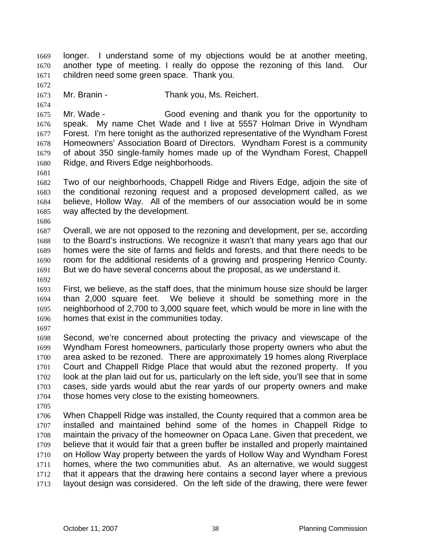longer. I understand some of my objections would be at another meeting, another type of meeting. I really do oppose the rezoning of this land. Our children need some green space. Thank you.

Mr. Branin - Thank you, Ms. Reichert.

Mr. Wade - Good evening and thank you for the opportunity to speak. My name Chet Wade and I live at 5557 Holman Drive in Wyndham Forest. I'm here tonight as the authorized representative of the Wyndham Forest Homeowners' Association Board of Directors. Wyndham Forest is a community of about 350 single-family homes made up of the Wyndham Forest, Chappell Ridge, and Rivers Edge neighborhoods.

Two of our neighborhoods, Chappell Ridge and Rivers Edge, adjoin the site of the conditional rezoning request and a proposed development called, as we believe, Hollow Way. All of the members of our association would be in some way affected by the development.

Overall, we are not opposed to the rezoning and development, per se, according to the Board's instructions. We recognize it wasn't that many years ago that our homes were the site of farms and fields and forests, and that there needs to be room for the additional residents of a growing and prospering Henrico County. But we do have several concerns about the proposal, as we understand it.

First, we believe, as the staff does, that the minimum house size should be larger than 2,000 square feet. We believe it should be something more in the neighborhood of 2,700 to 3,000 square feet, which would be more in line with the homes that exist in the communities today.

Second, we're concerned about protecting the privacy and viewscape of the Wyndham Forest homeowners, particularly those property owners who abut the area asked to be rezoned. There are approximately 19 homes along Riverplace Court and Chappell Ridge Place that would abut the rezoned property. If you look at the plan laid out for us, particularly on the left side, you'll see that in some cases, side yards would abut the rear yards of our property owners and make those homes very close to the existing homeowners.

When Chappell Ridge was installed, the County required that a common area be installed and maintained behind some of the homes in Chappell Ridge to maintain the privacy of the homeowner on Opaca Lane. Given that precedent, we believe that it would fair that a green buffer be installed and properly maintained on Hollow Way property between the yards of Hollow Way and Wyndham Forest homes, where the two communities abut. As an alternative, we would suggest that it appears that the drawing here contains a second layer where a previous layout design was considered. On the left side of the drawing, there were fewer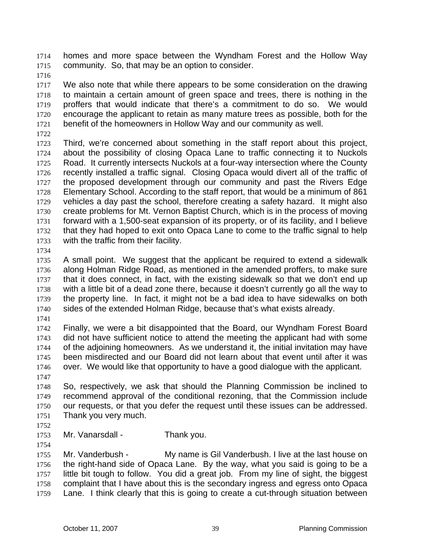homes and more space between the Wyndham Forest and the Hollow Way community. So, that may be an option to consider.

We also note that while there appears to be some consideration on the drawing to maintain a certain amount of green space and trees, there is nothing in the proffers that would indicate that there's a commitment to do so. We would encourage the applicant to retain as many mature trees as possible, both for the benefit of the homeowners in Hollow Way and our community as well.

Third, we're concerned about something in the staff report about this project, about the possibility of closing Opaca Lane to traffic connecting it to Nuckols Road. It currently intersects Nuckols at a four-way intersection where the County recently installed a traffic signal. Closing Opaca would divert all of the traffic of 1727 the proposed development through our community and past the Rivers Edge Elementary School. According to the staff report, that would be a minimum of 861 vehicles a day past the school, therefore creating a safety hazard. It might also create problems for Mt. Vernon Baptist Church, which is in the process of moving forward with a 1,500-seat expansion of its property, or of its facility, and I believe that they had hoped to exit onto Opaca Lane to come to the traffic signal to help with the traffic from their facility.

A small point. We suggest that the applicant be required to extend a sidewalk along Holman Ridge Road, as mentioned in the amended proffers, to make sure that it does connect, in fact, with the existing sidewalk so that we don't end up with a little bit of a dead zone there, because it doesn't currently go all the way to the property line. In fact, it might not be a bad idea to have sidewalks on both sides of the extended Holman Ridge, because that's what exists already.

Finally, we were a bit disappointed that the Board, our Wyndham Forest Board did not have sufficient notice to attend the meeting the applicant had with some of the adjoining homeowners. As we understand it, the initial invitation may have been misdirected and our Board did not learn about that event until after it was over. We would like that opportunity to have a good dialogue with the applicant.

So, respectively, we ask that should the Planning Commission be inclined to recommend approval of the conditional rezoning, that the Commission include our requests, or that you defer the request until these issues can be addressed. Thank you very much.

Mr. Vanarsdall - Thank you.

Mr. Vanderbush - My name is Gil Vanderbush. I live at the last house on the right-hand side of Opaca Lane. By the way, what you said is going to be a little bit tough to follow. You did a great job. From my line of sight, the biggest complaint that I have about this is the secondary ingress and egress onto Opaca Lane. I think clearly that this is going to create a cut-through situation between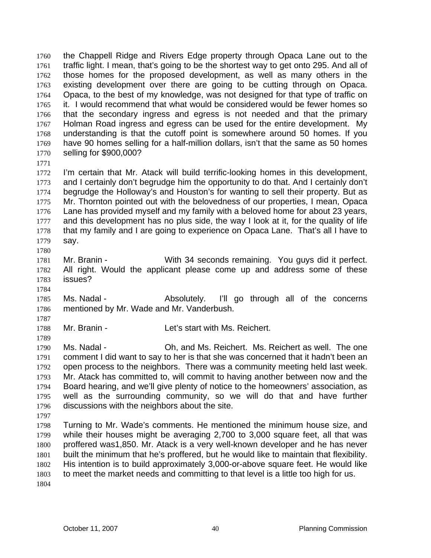the Chappell Ridge and Rivers Edge property through Opaca Lane out to the traffic light. I mean, that's going to be the shortest way to get onto 295. And all of those homes for the proposed development, as well as many others in the existing development over there are going to be cutting through on Opaca. Opaca, to the best of my knowledge, was not designed for that type of traffic on it. I would recommend that what would be considered would be fewer homes so that the secondary ingress and egress is not needed and that the primary Holman Road ingress and egress can be used for the entire development. My understanding is that the cutoff point is somewhere around 50 homes. If you have 90 homes selling for a half-million dollars, isn't that the same as 50 homes selling for \$900,000?

I'm certain that Mr. Atack will build terrific-looking homes in this development, and I certainly don't begrudge him the opportunity to do that. And I certainly don't begrudge the Holloway's and Houston's for wanting to sell their property. But as Mr. Thornton pointed out with the belovedness of our properties, I mean, Opaca Lane has provided myself and my family with a beloved home for about 23 years, 1777 and this development has no plus side, the way I look at it, for the quality of life that my family and I are going to experience on Opaca Lane. That's all I have to say.

- Mr. Branin With 34 seconds remaining. You guys did it perfect. All right. Would the applicant please come up and address some of these issues?
- Ms. Nadal Absolutely. I'll go through all of the concerns mentioned by Mr. Wade and Mr. Vanderbush.
- 

Mr. Branin - Let's start with Ms. Reichert.

Ms. Nadal - Oh, and Ms. Reichert. Ms. Reichert as well. The one comment I did want to say to her is that she was concerned that it hadn't been an open process to the neighbors. There was a community meeting held last week. Mr. Atack has committed to, will commit to having another between now and the Board hearing, and we'll give plenty of notice to the homeowners' association, as well as the surrounding community, so we will do that and have further discussions with the neighbors about the site. 

Turning to Mr. Wade's comments. He mentioned the minimum house size, and while their houses might be averaging 2,700 to 3,000 square feet, all that was proffered was1,850. Mr. Atack is a very well-known developer and he has never built the minimum that he's proffered, but he would like to maintain that flexibility. His intention is to build approximately 3,000-or-above square feet. He would like to meet the market needs and committing to that level is a little too high for us.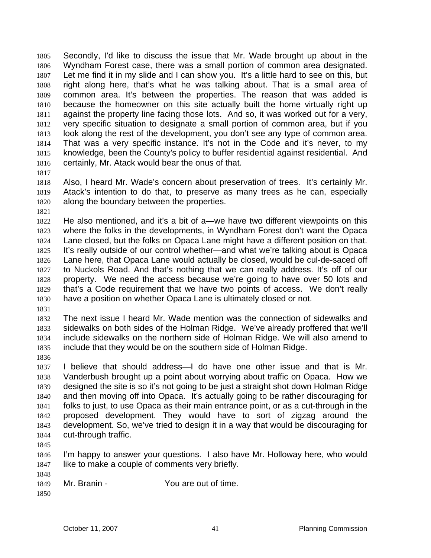Secondly, I'd like to discuss the issue that Mr. Wade brought up about in the Wyndham Forest case, there was a small portion of common area designated. Let me find it in my slide and I can show you. It's a little hard to see on this, but right along here, that's what he was talking about. That is a small area of common area. It's between the properties. The reason that was added is because the homeowner on this site actually built the home virtually right up against the property line facing those lots. And so, it was worked out for a very, very specific situation to designate a small portion of common area, but if you look along the rest of the development, you don't see any type of common area. That was a very specific instance. It's not in the Code and it's never, to my knowledge, been the County's policy to buffer residential against residential. And 1816 certainly, Mr. Atack would bear the onus of that.

Also, I heard Mr. Wade's concern about preservation of trees. It's certainly Mr. Atack's intention to do that, to preserve as many trees as he can, especially along the boundary between the properties.

He also mentioned, and it's a bit of a—we have two different viewpoints on this where the folks in the developments, in Wyndham Forest don't want the Opaca Lane closed, but the folks on Opaca Lane might have a different position on that. It's really outside of our control whether—and what we're talking about is Opaca Lane here, that Opaca Lane would actually be closed, would be cul-de-saced off to Nuckols Road. And that's nothing that we can really address. It's off of our property. We need the access because we're going to have over 50 lots and that's a Code requirement that we have two points of access. We don't really have a position on whether Opaca Lane is ultimately closed or not.

The next issue I heard Mr. Wade mention was the connection of sidewalks and sidewalks on both sides of the Holman Ridge. We've already proffered that we'll include sidewalks on the northern side of Holman Ridge. We will also amend to include that they would be on the southern side of Holman Ridge.

I believe that should address—I do have one other issue and that is Mr. Vanderbush brought up a point about worrying about traffic on Opaca. How we designed the site is so it's not going to be just a straight shot down Holman Ridge and then moving off into Opaca. It's actually going to be rather discouraging for folks to just, to use Opaca as their main entrance point, or as a cut-through in the proposed development. They would have to sort of zigzag around the development. So, we've tried to design it in a way that would be discouraging for cut-through traffic.

I'm happy to answer your questions. I also have Mr. Holloway here, who would 1847 like to make a couple of comments very briefly.

Mr. Branin - You are out of time.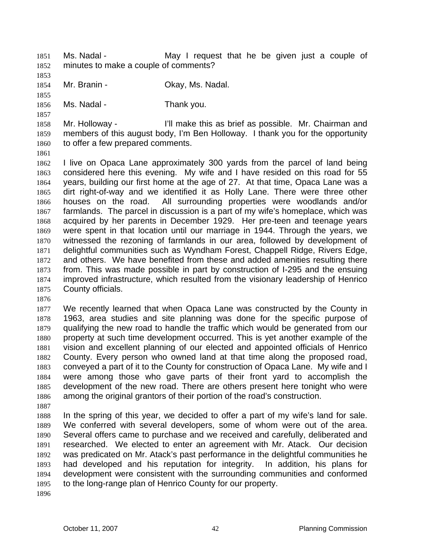- Ms. Nadal May I request that he be given just a couple of minutes to make a couple of comments?
- 
- 1854 Mr. Branin Ckay, Ms. Nadal.
- 

1856 Ms. Nadal - Thank you.

Mr. Holloway - I'll make this as brief as possible. Mr. Chairman and members of this august body, I'm Ben Holloway. I thank you for the opportunity to offer a few prepared comments.

I live on Opaca Lane approximately 300 yards from the parcel of land being considered here this evening. My wife and I have resided on this road for 55 years, building our first home at the age of 27. At that time, Opaca Lane was a dirt right-of-way and we identified it as Holly Lane. There were three other houses on the road. All surrounding properties were woodlands and/or farmlands. The parcel in discussion is a part of my wife's homeplace, which was acquired by her parents in December 1929. Her pre-teen and teenage years were spent in that location until our marriage in 1944. Through the years, we witnessed the rezoning of farmlands in our area, followed by development of delightful communities such as Wyndham Forest, Chappell Ridge, Rivers Edge, and others. We have benefited from these and added amenities resulting there from. This was made possible in part by construction of I-295 and the ensuing improved infrastructure, which resulted from the visionary leadership of Henrico County officials.

We recently learned that when Opaca Lane was constructed by the County in 1963, area studies and site planning was done for the specific purpose of qualifying the new road to handle the traffic which would be generated from our property at such time development occurred. This is yet another example of the vision and excellent planning of our elected and appointed officials of Henrico County. Every person who owned land at that time along the proposed road, conveyed a part of it to the County for construction of Opaca Lane. My wife and I were among those who gave parts of their front yard to accomplish the development of the new road. There are others present here tonight who were among the original grantors of their portion of the road's construction.

In the spring of this year, we decided to offer a part of my wife's land for sale. We conferred with several developers, some of whom were out of the area. Several offers came to purchase and we received and carefully, deliberated and researched. We elected to enter an agreement with Mr. Atack. Our decision was predicated on Mr. Atack's past performance in the delightful communities he had developed and his reputation for integrity. In addition, his plans for development were consistent with the surrounding communities and conformed to the long-range plan of Henrico County for our property.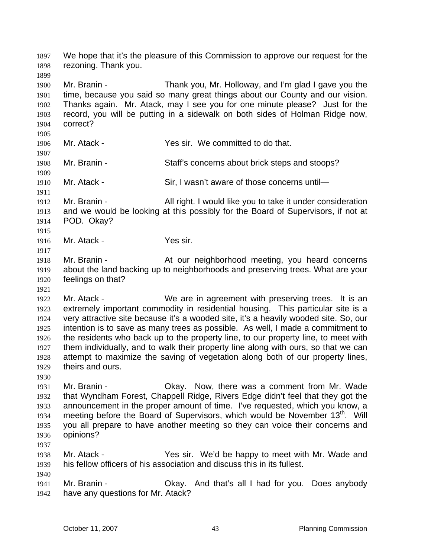We hope that it's the pleasure of this Commission to approve our request for the rezoning. Thank you. Mr. Branin - Thank you, Mr. Holloway, and I'm glad I gave you the time, because you said so many great things about our County and our vision. Thanks again. Mr. Atack, may I see you for one minute please? Just for the record, you will be putting in a sidewalk on both sides of Holman Ridge now, correct? Mr. Atack - Yes sir. We committed to do that. Mr. Branin - Staff's concerns about brick steps and stoops? 1910 Mr. Atack - Sir, I wasn't aware of those concerns until- Mr. Branin - All right. I would like you to take it under consideration and we would be looking at this possibly for the Board of Supervisors, if not at POD. Okay? Mr. Atack - Yes sir. Mr. Branin - At our neighborhood meeting, you heard concerns about the land backing up to neighborhoods and preserving trees. What are your feelings on that? 1922 Mr. Atack - We are in agreement with preserving trees. It is an extremely important commodity in residential housing. This particular site is a very attractive site because it's a wooded site, it's a heavily wooded site. So, our intention is to save as many trees as possible. As well, I made a commitment to the residents who back up to the property line, to our property line, to meet with them individually, and to walk their property line along with ours, so that we can attempt to maximize the saving of vegetation along both of our property lines, theirs and ours. Mr. Branin - Okay. Now, there was a comment from Mr. Wade that Wyndham Forest, Chappell Ridge, Rivers Edge didn't feel that they got the announcement in the proper amount of time. I've requested, which you know, a 1934 meeting before the Board of Supervisors, which would be November 13<sup>th</sup>. Will you all prepare to have another meeting so they can voice their concerns and opinions? Mr. Atack - Yes sir. We'd be happy to meet with Mr. Wade and his fellow officers of his association and discuss this in its fullest. Mr. Branin - Okay. And that's all I had for you. Does anybody have any questions for Mr. Atack?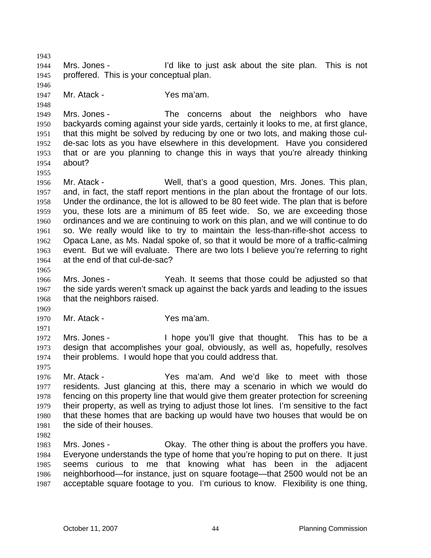Mrs. Jones - I'd like to just ask about the site plan. This is not proffered. This is your conceptual plan. Mr. Atack - Yes ma'am. Mrs. Jones - The concerns about the neighbors who have backyards coming against your side yards, certainly it looks to me, at first glance, that this might be solved by reducing by one or two lots, and making those cul-de-sac lots as you have elsewhere in this development. Have you considered that or are you planning to change this in ways that you're already thinking about? Mr. Atack - Well, that's a good question, Mrs. Jones. This plan, and, in fact, the staff report mentions in the plan about the frontage of our lots. Under the ordinance, the lot is allowed to be 80 feet wide. The plan that is before you, these lots are a minimum of 85 feet wide. So, we are exceeding those ordinances and we are continuing to work on this plan, and we will continue to do so. We really would like to try to maintain the less-than-rifle-shot access to Opaca Lane, as Ms. Nadal spoke of, so that it would be more of a traffic-calming event. But we will evaluate. There are two lots I believe you're referring to right at the end of that cul-de-sac? Mrs. Jones - Yeah. It seems that those could be adjusted so that the side yards weren't smack up against the back yards and leading to the issues that the neighbors raised. Mr. Atack - Yes ma'am. Mrs. Jones - I hope you'll give that thought. This has to be a design that accomplishes your goal, obviously, as well as, hopefully, resolves their problems. I would hope that you could address that. Mr. Atack - Yes ma'am. And we'd like to meet with those residents. Just glancing at this, there may a scenario in which we would do fencing on this property line that would give them greater protection for screening their property, as well as trying to adjust those lot lines. I'm sensitive to the fact that these homes that are backing up would have two houses that would be on the side of their houses. Mrs. Jones - Okay. The other thing is about the proffers you have. Everyone understands the type of home that you're hoping to put on there. It just seems curious to me that knowing what has been in the adjacent neighborhood—for instance, just on square footage—that 2500 would not be an acceptable square footage to you. I'm curious to know. Flexibility is one thing,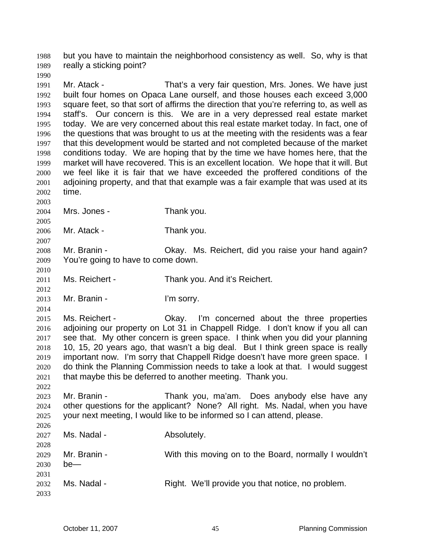but you have to maintain the neighborhood consistency as well. So, why is that really a sticking point?

Mr. Atack - That's a very fair question, Mrs. Jones. We have just built four homes on Opaca Lane ourself, and those houses each exceed 3,000 square feet, so that sort of affirms the direction that you're referring to, as well as staff's. Our concern is this. We are in a very depressed real estate market today. We are very concerned about this real estate market today. In fact, one of the questions that was brought to us at the meeting with the residents was a fear that this development would be started and not completed because of the market conditions today. We are hoping that by the time we have homes here, that the market will have recovered. This is an excellent location. We hope that it will. But we feel like it is fair that we have exceeded the proffered conditions of the adjoining property, and that that example was a fair example that was used at its time.

Mrs. Jones - Thank you.

Mr. Atack - Thank you.

Mr. Branin - Okay. Ms. Reichert, did you raise your hand again? You're going to have to come down.

Ms. Reichert - Thank you. And it's Reichert.

Mr. Branin - I'm sorry.

Ms. Reichert - Okay. I'm concerned about the three properties adjoining our property on Lot 31 in Chappell Ridge. I don't know if you all can see that. My other concern is green space. I think when you did your planning 10, 15, 20 years ago, that wasn't a big deal. But I think green space is really important now. I'm sorry that Chappell Ridge doesn't have more green space. I do think the Planning Commission needs to take a look at that. I would suggest that maybe this be deferred to another meeting. Thank you.

Mr. Branin - Thank you, ma'am. Does anybody else have any other questions for the applicant? None? All right. Ms. Nadal, when you have your next meeting, I would like to be informed so I can attend, please. 

| 2026 |              |                                                       |
|------|--------------|-------------------------------------------------------|
| 2027 | Ms. Nadal -  | Absolutely.                                           |
| 2028 |              |                                                       |
| 2029 | Mr. Branin - | With this moving on to the Board, normally I wouldn't |
| 2030 | $be$ —       |                                                       |
| 2031 |              |                                                       |
| 2032 | Ms. Nadal -  | Right. We'll provide you that notice, no problem.     |
| 2033 |              |                                                       |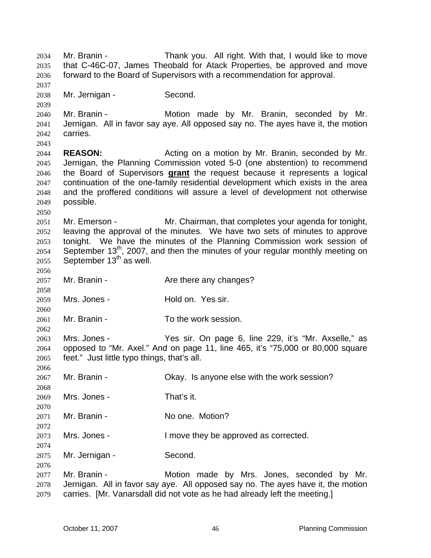Mr. Branin - Thank you. All right. With that, I would like to move that C-46C-07, James Theobald for Atack Properties, be approved and move forward to the Board of Supervisors with a recommendation for approval. Mr. Jernigan - Second. Mr. Branin - Motion made by Mr. Branin, seconded by Mr. Jernigan. All in favor say aye. All opposed say no. The ayes have it, the motion carries. **REASON:** Acting on a motion by Mr. Branin, seconded by Mr. Jernigan, the Planning Commission voted 5-0 (one abstention) to recommend the Board of Supervisors **grant** the request because it represents a logical continuation of the one-family residential development which exists in the area and the proffered conditions will assure a level of development not otherwise possible. Mr. Emerson - Mr. Chairman, that completes your agenda for tonight, leaving the approval of the minutes. We have two sets of minutes to approve tonight. We have the minutes of the Planning Commission work session of September 13<sup>th</sup>, 2007, and then the minutes of your regular monthly meeting on September 13<sup>th</sup> as well. 2057 Mr. Branin - Are there any changes? Mrs. Jones - Hold on. Yes sir. Mr. Branin - To the work session. Mrs. Jones - Yes sir. On page 6, line 229, it's "Mr. Axselle," as opposed to "Mr. Axel." And on page 11, line 465, it's "75,000 or 80,000 square feet." Just little typo things, that's all. Mr. Branin - Okay. Is anyone else with the work session? Mrs. Jones - That's it. 2071 Mr. Branin - No one. Motion? Mrs. Jones - I move they be approved as corrected. Mr. Jernigan - Second. Mr. Branin - Motion made by Mrs. Jones, seconded by Mr. Jernigan. All in favor say aye. All opposed say no. The ayes have it, the motion carries. [Mr. Vanarsdall did not vote as he had already left the meeting.]